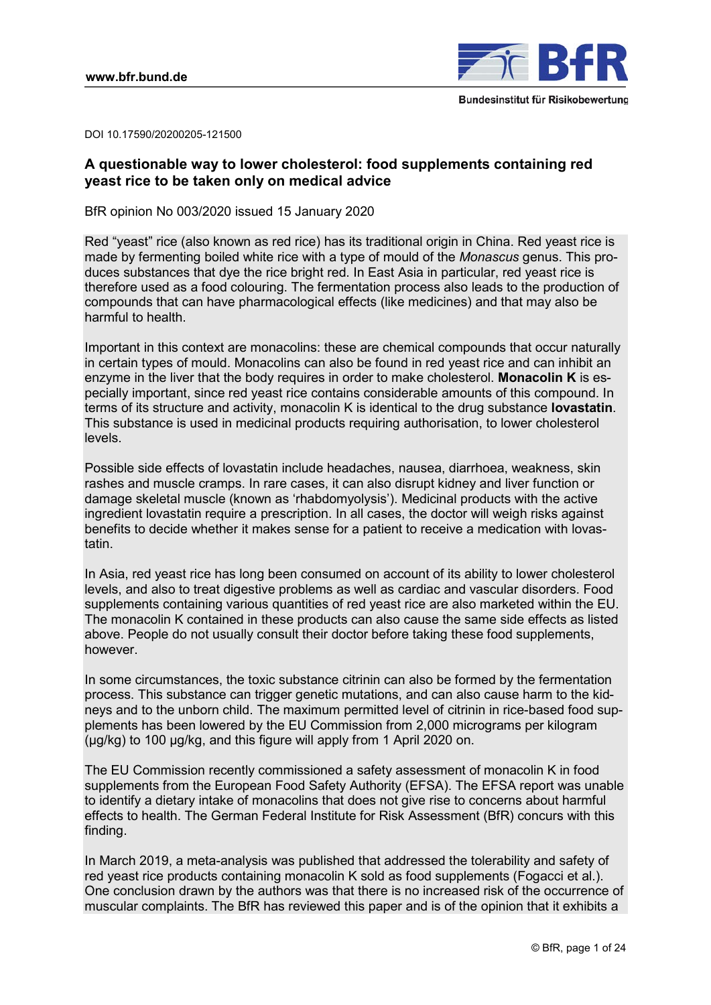

DOI 10.17590/20200205-121500

# **A questionable way to lower cholesterol: food supplements containing red yeast rice to be taken only on medical advice**

BfR opinion No 003/2020 issued 15 January 2020

Red "yeast" rice (also known as red rice) has its traditional origin in China. Red yeast rice is made by fermenting boiled white rice with a type of mould of the *Monascus* genus. This produces substances that dye the rice bright red. In East Asia in particular, red yeast rice is therefore used as a food colouring. The fermentation process also leads to the production of compounds that can have pharmacological effects (like medicines) and that may also be harmful to health.

Important in this context are monacolins: these are chemical compounds that occur naturally in certain types of mould. Monacolins can also be found in red yeast rice and can inhibit an enzyme in the liver that the body requires in order to make cholesterol. **Monacolin K** is especially important, since red yeast rice contains considerable amounts of this compound. In terms of its structure and activity, monacolin K is identical to the drug substance **lovastatin**. This substance is used in medicinal products requiring authorisation, to lower cholesterol levels.

Possible side effects of lovastatin include headaches, nausea, diarrhoea, weakness, skin rashes and muscle cramps. In rare cases, it can also disrupt kidney and liver function or damage skeletal muscle (known as 'rhabdomyolysis'). Medicinal products with the active ingredient lovastatin require a prescription. In all cases, the doctor will weigh risks against benefits to decide whether it makes sense for a patient to receive a medication with lovastatin.

In Asia, red yeast rice has long been consumed on account of its ability to lower cholesterol levels, and also to treat digestive problems as well as cardiac and vascular disorders. Food supplements containing various quantities of red yeast rice are also marketed within the EU. The monacolin K contained in these products can also cause the same side effects as listed above. People do not usually consult their doctor before taking these food supplements, however.

In some circumstances, the toxic substance citrinin can also be formed by the fermentation process. This substance can trigger genetic mutations, and can also cause harm to the kidneys and to the unborn child. The maximum permitted level of citrinin in rice-based food supplements has been lowered by the EU Commission from 2,000 micrograms per kilogram (µg/kg) to 100 µg/kg, and this figure will apply from 1 April 2020 on.

The EU Commission recently commissioned a safety assessment of monacolin K in food supplements from the European Food Safety Authority (EFSA). The EFSA report was unable to identify a dietary intake of monacolins that does not give rise to concerns about harmful effects to health. The German Federal Institute for Risk Assessment (BfR) concurs with this finding.

In March 2019, a meta-analysis was published that addressed the tolerability and safety of red yeast rice products containing monacolin K sold as food supplements (Fogacci et al.). One conclusion drawn by the authors was that there is no increased risk of the occurrence of muscular complaints. The BfR has reviewed this paper and is of the opinion that it exhibits a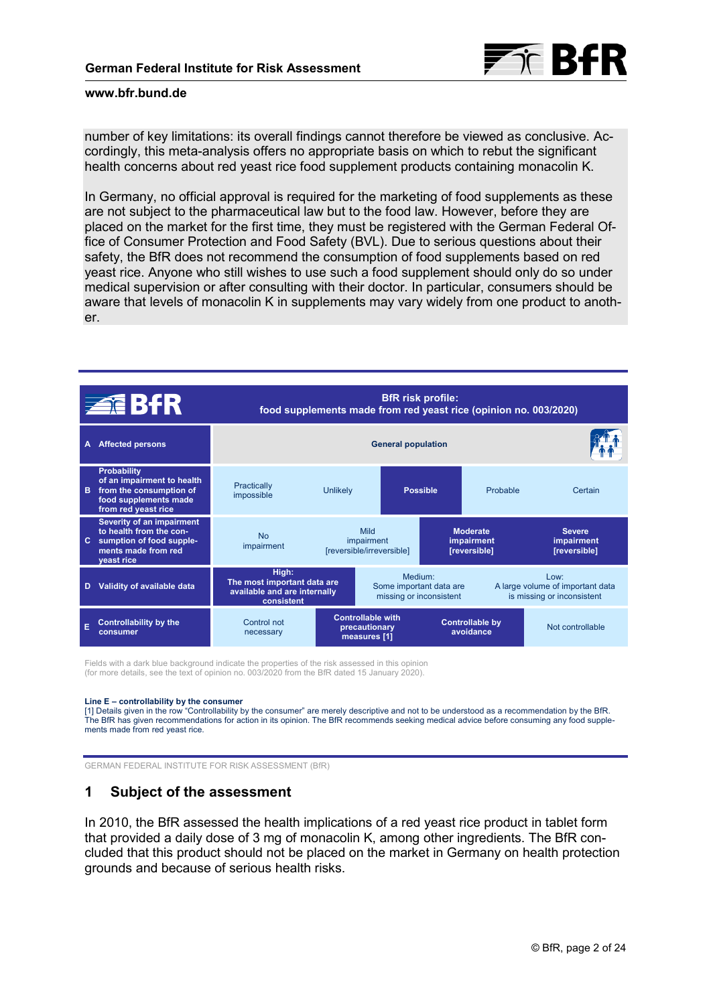

number of key limitations: its overall findings cannot therefore be viewed as conclusive. Accordingly, this meta-analysis offers no appropriate basis on which to rebut the significant health concerns about red yeast rice food supplement products containing monacolin K.

In Germany, no official approval is required for the marketing of food supplements as these are not subject to the pharmaceutical law but to the food law. However, before they are placed on the market for the first time, they must be registered with the German Federal Office of Consumer Protection and Food Safety (BVL). Due to serious questions about their safety, the BfR does not recommend the consumption of food supplements based on red yeast rice. Anyone who still wishes to use such a food supplement should only do so under medical supervision or after consulting with their doctor. In particular, consumers should be aware that levels of monacolin K in supplements may vary widely from one product to another.

| <b>ZEBAR</b> |                                                                                                                             | <b>BfR</b> risk profile:<br>food supplements made from red yeast rice (opinion no. 003/2020) |                                                           |                                                               |                                               |          |                                                                        |
|--------------|-----------------------------------------------------------------------------------------------------------------------------|----------------------------------------------------------------------------------------------|-----------------------------------------------------------|---------------------------------------------------------------|-----------------------------------------------|----------|------------------------------------------------------------------------|
| A            | <b>Affected persons</b>                                                                                                     | <b>General population</b>                                                                    |                                                           |                                                               |                                               |          |                                                                        |
| B.           | <b>Probability</b><br>of an impairment to health<br>from the consumption of<br>food supplements made<br>from red yeast rice | Practically<br>impossible                                                                    | <b>Unlikely</b>                                           |                                                               | <b>Possible</b>                               | Probable | Certain                                                                |
| C.           | Severity of an impairment<br>to health from the con-<br>sumption of food supple-<br>ments made from red<br>yeast rice       | <b>No</b><br>impairment                                                                      | Mild<br>impairment<br>[reversible/irreversible]           |                                                               | <b>Moderate</b><br>impairment<br>[reversible] |          | <b>Severe</b><br>impairment<br>[reversible]                            |
| D            | Validity of available data                                                                                                  | High:<br>The most important data are<br>available and are internally<br>consistent           |                                                           | Medium:<br>Some important data are<br>missing or inconsistent |                                               |          | Low:<br>A large volume of important data<br>is missing or inconsistent |
| E            | <b>Controllability by the</b><br>consumer                                                                                   | Control not<br>necessary                                                                     | <b>Controllable with</b><br>precautionary<br>measures [1] |                                                               | <b>Controllable by</b><br>avoidance           |          | Not controllable                                                       |

Fields with a dark blue background indicate the properties of the risk assessed in this opinion (for more details, see the text of opinion no. 003/2020 from the BfR dated 15 January 2020).

#### **Line E – controllability by the consumer**

[1] Details given in the row "Controllability by the consumer" are merely descriptive and not to be understood as a recommendation by the BfR.<br>The BfR has given recommendations for action in its opinion. The BfR recommends ments made from red yeast rice.

GERMAN FEDERAL INSTITUTE FOR RISK ASSESSMENT (BfR)

# **1 Subject of the assessment**

In 2010, the BfR assessed the health implications of a red yeast rice product in tablet form that provided a daily dose of 3 mg of monacolin K, among other ingredients. The BfR concluded that this product should not be placed on the market in Germany on health protection grounds and because of serious health risks.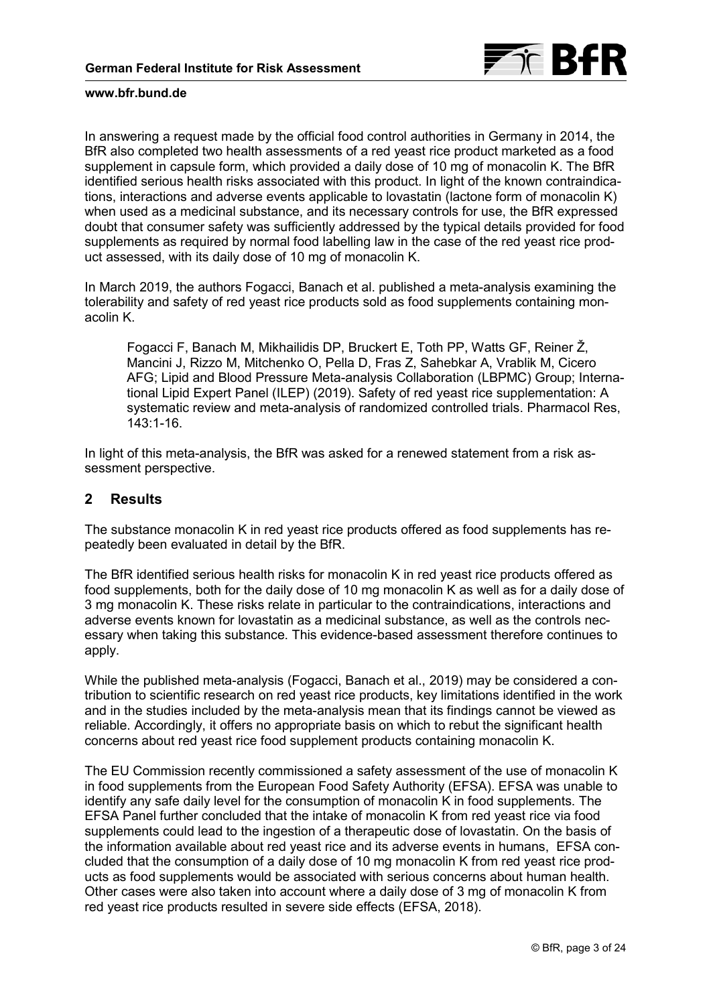

In answering a request made by the official food control authorities in Germany in 2014, the BfR also completed two health assessments of a red yeast rice product marketed as a food supplement in capsule form, which provided a daily dose of 10 mg of monacolin K. The BfR identified serious health risks associated with this product. In light of the known contraindications, interactions and adverse events applicable to lovastatin (lactone form of monacolin K) when used as a medicinal substance, and its necessary controls for use, the BfR expressed doubt that consumer safety was sufficiently addressed by the typical details provided for food supplements as required by normal food labelling law in the case of the red yeast rice product assessed, with its daily dose of 10 mg of monacolin K.

In March 2019, the authors Fogacci, Banach et al. published a meta-analysis examining the tolerability and safety of red yeast rice products sold as food supplements containing monacolin K.

Fogacci F, Banach M, Mikhailidis DP, Bruckert E, Toth PP, Watts GF, Reiner Ž, Mancini J, Rizzo M, Mitchenko O, Pella D, Fras Z, Sahebkar A, Vrablik M, Cicero AFG; Lipid and Blood Pressure Meta-analysis Collaboration (LBPMC) Group; International Lipid Expert Panel (ILEP) (2019). Safety of red yeast rice supplementation: A systematic review and meta-analysis of randomized controlled trials. Pharmacol Res, 143:1-16.

In light of this meta-analysis, the BfR was asked for a renewed statement from a risk assessment perspective.

# **2 Results**

The substance monacolin K in red yeast rice products offered as food supplements has repeatedly been evaluated in detail by the BfR.

The BfR identified serious health risks for monacolin K in red yeast rice products offered as food supplements, both for the daily dose of 10 mg monacolin K as well as for a daily dose of 3 mg monacolin K. These risks relate in particular to the contraindications, interactions and adverse events known for lovastatin as a medicinal substance, as well as the controls necessary when taking this substance. This evidence-based assessment therefore continues to apply.

While the published meta-analysis (Fogacci, Banach et al., 2019) may be considered a contribution to scientific research on red yeast rice products, key limitations identified in the work and in the studies included by the meta-analysis mean that its findings cannot be viewed as reliable. Accordingly, it offers no appropriate basis on which to rebut the significant health concerns about red yeast rice food supplement products containing monacolin K.

The EU Commission recently commissioned a safety assessment of the use of monacolin K in food supplements from the European Food Safety Authority (EFSA). EFSA was unable to identify any safe daily level for the consumption of monacolin K in food supplements. The EFSA Panel further concluded that the intake of monacolin K from red yeast rice via food supplements could lead to the ingestion of a therapeutic dose of lovastatin. On the basis of the information available about red yeast rice and its adverse events in humans, EFSA concluded that the consumption of a daily dose of 10 mg monacolin K from red yeast rice products as food supplements would be associated with serious concerns about human health. Other cases were also taken into account where a daily dose of 3 mg of monacolin K from red yeast rice products resulted in severe side effects (EFSA, 2018).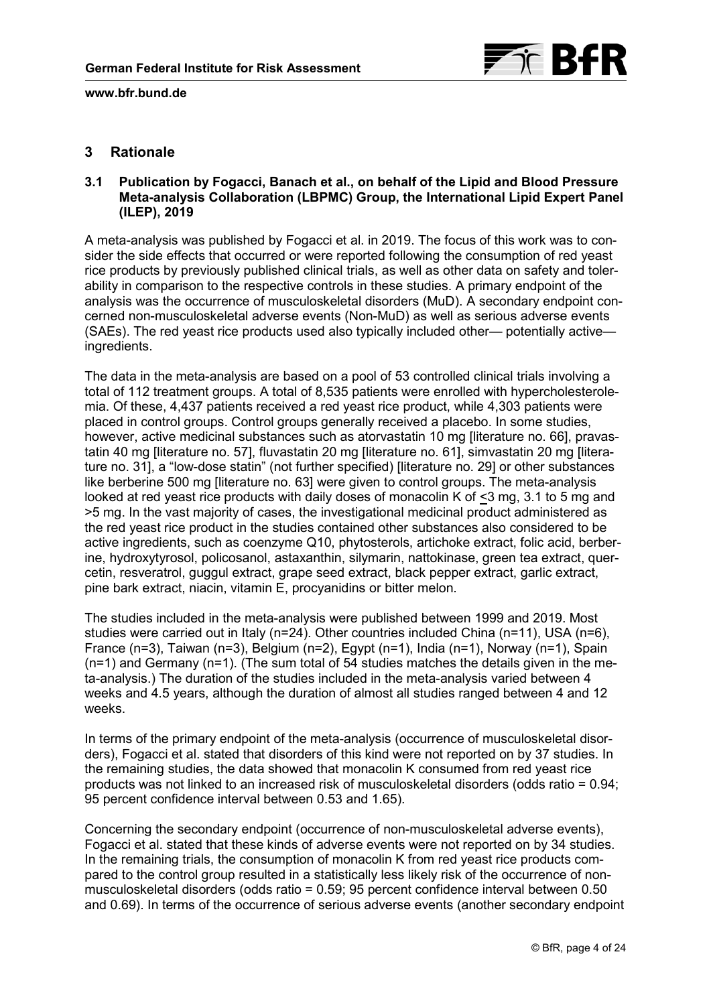

# <span id="page-3-0"></span>**3 Rationale**

# **3.1 Publication by Fogacci, Banach et al., on behalf of the Lipid and Blood Pressure Meta-analysis Collaboration (LBPMC) Group, the International Lipid Expert Panel (ILEP), 2019**

A meta-analysis was published by Fogacci et al. in 2019. The focus of this work was to consider the side effects that occurred or were reported following the consumption of red yeast rice products by previously published clinical trials, as well as other data on safety and tolerability in comparison to the respective controls in these studies. A primary endpoint of the analysis was the occurrence of musculoskeletal disorders (MuD). A secondary endpoint concerned non-musculoskeletal adverse events (Non-MuD) as well as serious adverse events (SAEs). The red yeast rice products used also typically included other— potentially active ingredients.

The data in the meta-analysis are based on a pool of 53 controlled clinical trials involving a total of 112 treatment groups. A total of 8,535 patients were enrolled with hypercholesterolemia. Of these, 4,437 patients received a red yeast rice product, while 4,303 patients were placed in control groups. Control groups generally received a placebo. In some studies, however, active medicinal substances such as atorvastatin 10 mg [\[literature no. 66\],](#page-22-0) pravastatin 40 mg [\[literature no. 57\],](#page-21-0) fluvastatin 20 mg [\[literature no. 61\],](#page-20-0) simvastatin 20 mg [litera[ture no. 31\], a "low-dose statin" \(not further specified\) \[literature no. 29\] or other substances](#page-23-0)  like berberine 500 mg [\[literature no. 63\]](#page-20-0) were given to control groups. The meta-analysis looked at red yeast rice products with daily doses of monacolin K of <3 mg, 3.1 to 5 mg and >5 mg. In the vast majority of cases, the investigational medicinal product administered as the red yeast rice product in the studies contained other substances also considered to be active ingredients, such as coenzyme Q10, phytosterols, artichoke extract, folic acid, berberine, hydroxytyrosol, policosanol, astaxanthin, silymarin, nattokinase, green tea extract, quercetin, resveratrol, guggul extract, grape seed extract, black pepper extract, garlic extract, pine bark extract, niacin, vitamin E, procyanidins or bitter melon.

The studies included in the meta-analysis were published between 1999 and 2019. Most studies were carried out in Italy (n=24). Other countries included China (n=11), USA (n=6), France (n=3), Taiwan (n=3), Belgium (n=2), Egypt (n=1), India (n=1), Norway (n=1), Spain  $(n=1)$  and Germany  $(n=1)$ . (The sum total of 54 studies matches the details given in the meta-analysis.) The duration of the studies included in the meta-analysis varied between 4 weeks and 4.5 years, although the duration of almost all studies ranged between 4 and 12 weeks.

In terms of the primary endpoint of the meta-analysis (occurrence of musculoskeletal disorders), Fogacci et al. stated that disorders of this kind were not reported on by 37 studies. In the remaining studies, the data showed that monacolin K consumed from red yeast rice products was not linked to an increased risk of musculoskeletal disorders (odds ratio = 0.94; 95 percent confidence interval between 0.53 and 1.65).

Concerning the secondary endpoint (occurrence of non-musculoskeletal adverse events), Fogacci et al. stated that these kinds of adverse events were not reported on by 34 studies. In the remaining trials, the consumption of monacolin K from red yeast rice products compared to the control group resulted in a statistically less likely risk of the occurrence of nonmusculoskeletal disorders (odds ratio = 0.59; 95 percent confidence interval between 0.50 and 0.69). In terms of the occurrence of serious adverse events (another secondary endpoint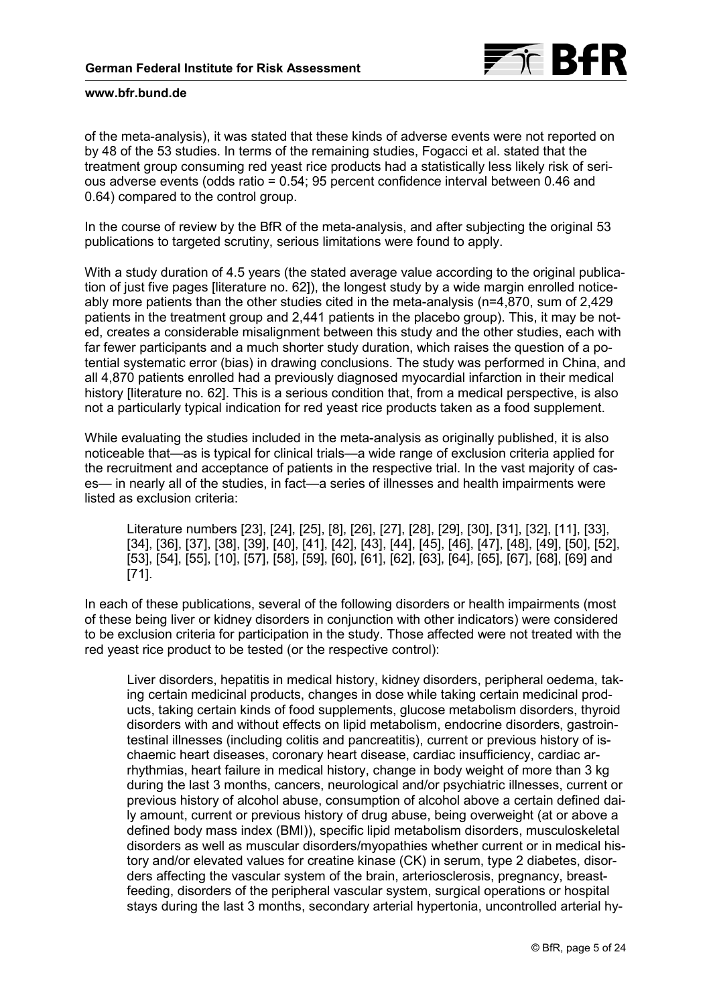

of the meta-analysis), it was stated that these kinds of adverse events were not reported on by 48 of the 53 studies. In terms of the remaining studies, Fogacci et al. stated that the treatment group consuming red yeast rice products had a statistically less likely risk of serious adverse events (odds ratio = 0.54; 95 percent confidence interval between 0.46 and 0.64) compared to the control group.

In the course of review by the BfR of the meta-analysis, and after subjecting the original 53 publications to targeted scrutiny, serious limitations were found to apply.

With a study duration of 4.5 years (the stated average value according to the original publication of just five pages [\[literature no. 62\]\)](#page-22-0), the longest study by a wide margin enrolled noticeably more patients than the other studies cited in the meta-analysis (n=4,870, sum of 2,429 patients in the treatment group and 2,441 patients in the placebo group). This, it may be noted, creates a considerable misalignment between this study and the other studies, each with far fewer participants and a much shorter study duration, which raises the question of a potential systematic error (bias) in drawing conclusions. The study was performed in China, and all 4,870 patients enrolled had a previously diagnosed myocardial infarction in their medical history [[literature no. 62\]](#page-22-0). This is a serious condition that, from a medical perspective, is also not a particularly typical indication for red yeast rice products taken as a food supplement.

While evaluating the studies included in the meta-analysis as originally published, it is also noticeable that—as is typical for clinical trials—a wide range of exclusion criteria applied for the recruitment and acceptance of patients in the respective trial. In the vast majority of cases— in nearly all of the studies, in fact—a series of illnesses and health impairments were listed as exclusion criteria:

Literature numbers [\[23\]](#page-22-0), [\[24\],](#page-20-0) [\[25\]](#page-19-0), [\[8\]](#page-19-0), [\[26\],](#page-19-0) [\[27\]](#page-20-0), [\[28\],](#page-20-0) [\[29\]](#page-22-0), [\[30\],](#page-23-0) [\[31\]](#page-23-0), [\[32\],](#page-23-0) [\[11\]](#page-20-0), [\[33\]](#page-20-0), [\[34\],](#page-19-0) [\[36\]](#page-21-0), [\[37\],](#page-21-0) [\[38\]](#page-20-0), [\[39\],](#page-23-0) [\[40\]](#page-20-0), [\[41\],](#page-20-0) [\[42\], \[43\]](#page-22-0), [\[44\],](#page-22-0) [\[45\]](#page-19-0), [\[46\],](#page-18-0) [\[47\]](#page-19-0), [\[48\],](#page-22-0) [\[49\]](#page-23-0), [\[50\],](#page-18-0) [\[52\]](#page-21-0), [\[53\],](#page-21-0) [\[54\]](#page-21-0), [\[55\],](#page-22-0) [\[10\]](#page-18-0), [\[57\],](#page-21-0) [\[58\],](#page-19-0) [\[59\],](#page-23-0) [\[60\],](#page-23-0) [\[61\]](#page-20-0), [\[62\],](#page-22-0) [\[63\]](#page-20-0), [\[64\],](#page-21-0) [\[65\]](#page-21-0), [\[67\],](#page-21-0) [\[68\]](#page-22-0), [\[69\]](#page-21-0) and [\[71\].](#page-21-0)

In each of these publications, several of the following disorders or health impairments (most of these being liver or kidney disorders in conjunction with other indicators) were considered to be exclusion criteria for participation in the study. Those affected were not treated with the red yeast rice product to be tested (or the respective control):

Liver disorders, hepatitis in medical history, kidney disorders, peripheral oedema, taking certain medicinal products, changes in dose while taking certain medicinal products, taking certain kinds of food supplements, glucose metabolism disorders, thyroid disorders with and without effects on lipid metabolism, endocrine disorders, gastrointestinal illnesses (including colitis and pancreatitis), current or previous history of ischaemic heart diseases, coronary heart disease, cardiac insufficiency, cardiac arrhythmias, heart failure in medical history, change in body weight of more than 3 kg during the last 3 months, cancers, neurological and/or psychiatric illnesses, current or previous history of alcohol abuse, consumption of alcohol above a certain defined daily amount, current or previous history of drug abuse, being overweight (at or above a defined body mass index (BMI)), specific lipid metabolism disorders, musculoskeletal disorders as well as muscular disorders/myopathies whether current or in medical history and/or elevated values for creatine kinase (CK) in serum, type 2 diabetes, disorders affecting the vascular system of the brain, arteriosclerosis, pregnancy, breastfeeding, disorders of the peripheral vascular system, surgical operations or hospital stays during the last 3 months, secondary arterial hypertonia, uncontrolled arterial hy-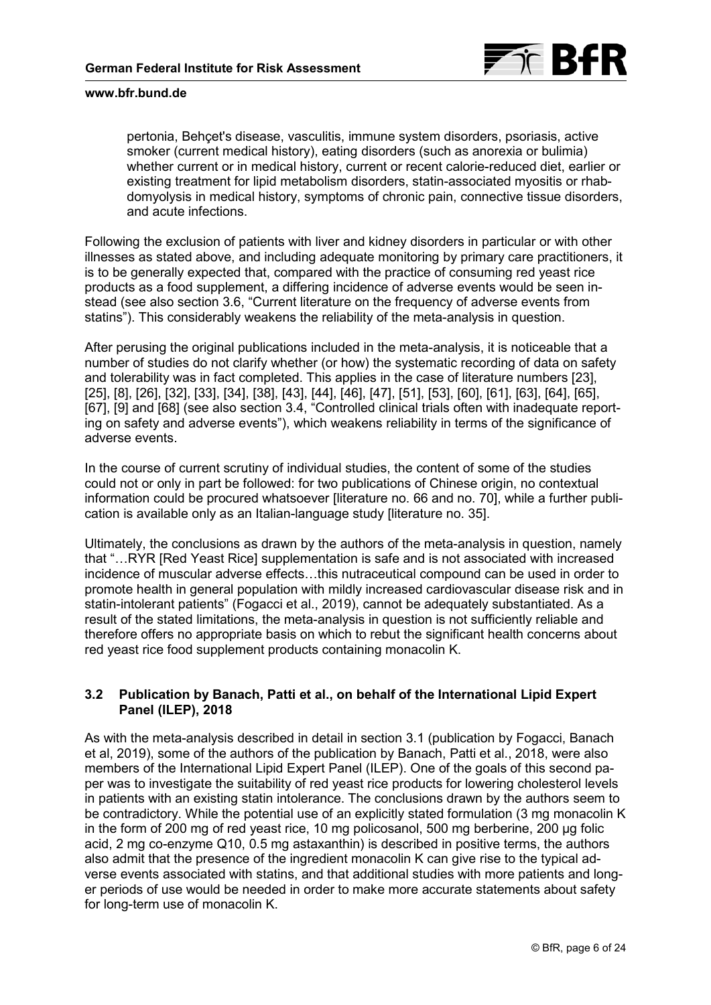

pertonia, Behçet's disease, vasculitis, immune system disorders, psoriasis, active smoker (current medical history), eating disorders (such as anorexia or bulimia) whether current or in medical history, current or recent calorie-reduced diet, earlier or existing treatment for lipid metabolism disorders, statin-associated myositis or rhabdomyolysis in medical history, symptoms of chronic pain, connective tissue disorders, and acute infections.

Following the exclusion of patients with liver and kidney disorders in particular or with other illnesses as stated above, and including adequate monitoring by primary care practitioners, it is to be generally expected that, compared with the practice of consuming red yeast rice products as a food supplement, a differing incidence of adverse events would be seen instead (see also section 3.6, "Current literature on the frequency of adverse events from [statins"\). This considerably weakens the reliability of the meta-analysis in question.](#page-12-0)

After perusing the original publications included in the meta-analysis, it is noticeable that a number of studies do not clarify whether (or how) the systematic recording of data on safety and tolerability was in fact completed. This applies in the case of literature numbers [\[23\]](#page-22-0), [\[25\]](#page-19-0), [\[8\],](#page-19-0) [\[26\]](#page-19-0), [\[32\],](#page-23-0) [\[33\]](#page-20-0), [\[34\],](#page-19-0) [\[38\]](#page-20-0), [\[43\],](#page-22-0) [\[44\],](#page-22-0) [\[46\],](#page-18-0) [\[47\], \[51\]](#page-19-0), [\[53\],](#page-21-0) [\[60\]](#page-23-0), [\[61\],](#page-20-0) [\[63\]](#page-20-0), [\[64\],](#page-21-0) [\[65\]](#page-21-0), [\[67\]](#page-21-0), [\[9\]](#page-23-0) and [\[68\]](#page-22-0) (see also section 3.4, "Controlled clinical trials often with inadequate reporting on safety and adverse events"), which weakens reliability in terms of the significance of adverse events.

In the course of current scrutiny of individual studies, the content of some of the studies could not or only in part be followed: for two publications of Chinese origin, no contextual information could be procured whatsoever [\[literature no. 66](#page-22-0) [and no. 70\],](#page-23-0) while a further publication is available only as an Italian-language study [\[literature no. 35\]](#page-19-0).

Ultimately, the conclusions as drawn by the authors of the meta-analysis in question, namely that "…RYR [Red Yeast Rice] supplementation is safe and is not associated with increased incidence of muscular adverse effects…this nutraceutical compound can be used in order to promote health in general population with mildly increased cardiovascular disease risk and in statin-intolerant patients" (Fogacci et al., 2019), cannot be adequately substantiated. As a result of the stated limitations, the meta-analysis in question is not sufficiently reliable and therefore offers no appropriate basis on which to rebut the significant health concerns about red yeast rice food supplement products containing monacolin K.

# **3.2 Publication by Banach, Patti et al., on behalf of the International Lipid Expert Panel (ILEP), 2018**

As with the meta-analysis described in detail in [section 3.1](#page-3-0) (publication by Fogacci, Banach et al, 2019), some of the authors of the publication by Banach, Patti et al., 2018, were also members of the International Lipid Expert Panel (ILEP). One of the goals of this second paper was to investigate the suitability of red yeast rice products for lowering cholesterol levels in patients with an existing statin intolerance. The conclusions drawn by the authors seem to be contradictory. While the potential use of an explicitly stated formulation (3 mg monacolin K) in the form of 200 mg of red yeast rice, 10 mg policosanol, 500 mg berberine, 200 µg folic acid, 2 mg co-enzyme Q10, 0.5 mg astaxanthin) is described in positive terms, the authors also admit that the presence of the ingredient monacolin K can give rise to the typical adverse events associated with statins, and that additional studies with more patients and longer periods of use would be needed in order to make more accurate statements about safety for long-term use of monacolin K.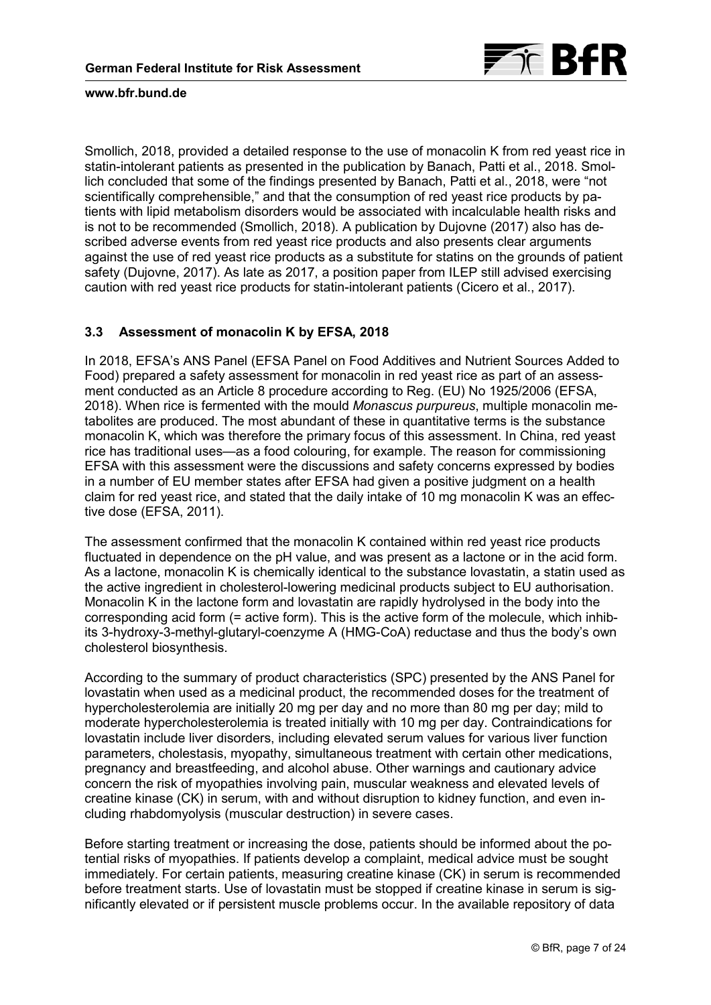

Smollich, 2018, provided a detailed response to the use of monacolin K from red yeast rice in statin-intolerant patients as presented in the publication by Banach, Patti et al., 2018. Smollich concluded that some of the findings presented by Banach, Patti et al., 2018, were "not scientifically comprehensible," and that the consumption of red yeast rice products by patients with lipid metabolism disorders would be associated with incalculable health risks and is not to be recommended (Smollich, 2018). A publication by Dujovne (2017) also has described adverse events from red yeast rice products and also presents clear arguments against the use of red yeast rice products as a substitute for statins on the grounds of patient safety (Dujovne, 2017). As late as 2017, a position paper from ILEP still advised exercising caution with red yeast rice products for statin-intolerant patients (Cicero et al., 2017).

# **3.3 Assessment of monacolin K by EFSA, 2018**

In 2018, EFSA's ANS Panel (EFSA Panel on Food Additives and Nutrient Sources Added to Food) prepared a safety assessment for monacolin in red yeast rice as part of an assessment conducted as an Article 8 procedure according to Reg. (EU) No 1925/2006 (EFSA, 2018). When rice is fermented with the mould *Monascus purpureus*, multiple monacolin metabolites are produced. The most abundant of these in quantitative terms is the substance monacolin K, which was therefore the primary focus of this assessment. In China, red yeast rice has traditional uses—as a food colouring, for example. The reason for commissioning EFSA with this assessment were the discussions and safety concerns expressed by bodies in a number of EU member states after EFSA had given a positive judgment on a health claim for red yeast rice, and stated that the daily intake of 10 mg monacolin K was an effective dose (EFSA, 2011).

The assessment confirmed that the monacolin K contained within red yeast rice products fluctuated in dependence on the pH value, and was present as a lactone or in the acid form. As a lactone, monacolin K is chemically identical to the substance lovastatin, a statin used as the active ingredient in cholesterol-lowering medicinal products subject to EU authorisation. Monacolin K in the lactone form and lovastatin are rapidly hydrolysed in the body into the corresponding acid form (= active form). This is the active form of the molecule, which inhibits 3-hydroxy-3-methyl-glutaryl-coenzyme A (HMG-CoA) reductase and thus the body's own cholesterol biosynthesis.

According to the summary of product characteristics (SPC) presented by the ANS Panel for lovastatin when used as a medicinal product, the recommended doses for the treatment of hypercholesterolemia are initially 20 mg per day and no more than 80 mg per day; mild to moderate hypercholesterolemia is treated initially with 10 mg per day. Contraindications for lovastatin include liver disorders, including elevated serum values for various liver function parameters, cholestasis, myopathy, simultaneous treatment with certain other medications, pregnancy and breastfeeding, and alcohol abuse. Other warnings and cautionary advice concern the risk of myopathies involving pain, muscular weakness and elevated levels of creatine kinase (CK) in serum, with and without disruption to kidney function, and even including rhabdomyolysis (muscular destruction) in severe cases.

Before starting treatment or increasing the dose, patients should be informed about the potential risks of myopathies. If patients develop a complaint, medical advice must be sought immediately. For certain patients, measuring creatine kinase (CK) in serum is recommended before treatment starts. Use of lovastatin must be stopped if creatine kinase in serum is significantly elevated or if persistent muscle problems occur. In the available repository of data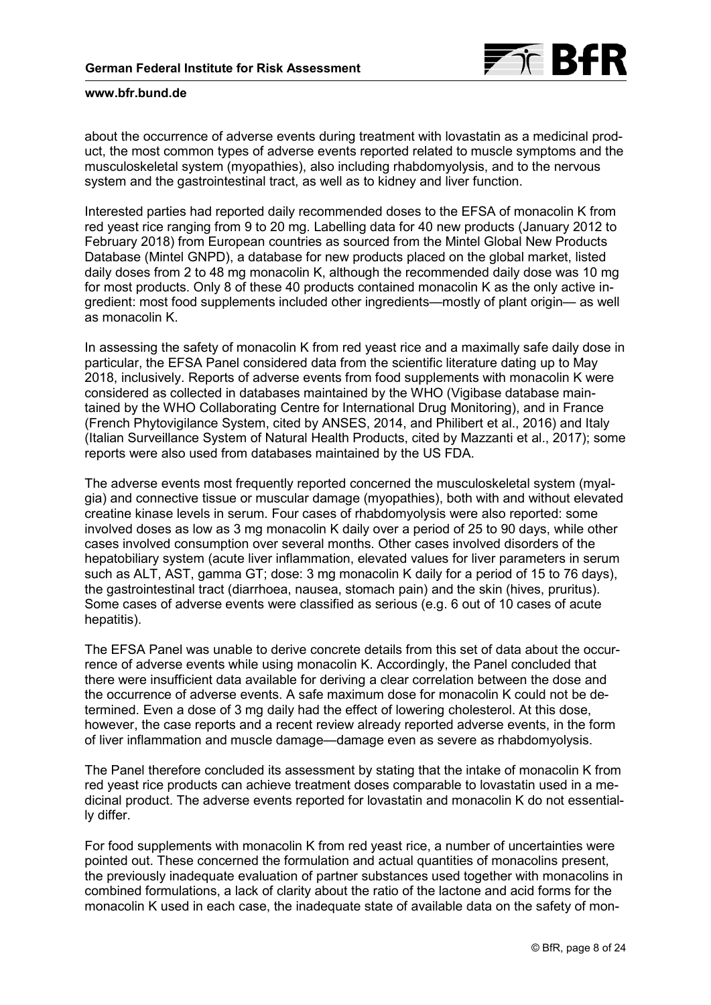

about the occurrence of adverse events during treatment with lovastatin as a medicinal product, the most common types of adverse events reported related to muscle symptoms and the musculoskeletal system (myopathies), also including rhabdomyolysis, and to the nervous system and the gastrointestinal tract, as well as to kidney and liver function.

Interested parties had reported daily recommended doses to the EFSA of monacolin K from red yeast rice ranging from 9 to 20 mg. Labelling data for 40 new products (January 2012 to February 2018) from European countries as sourced from the Mintel Global New Products Database (Mintel GNPD), a database for new products placed on the global market, listed daily doses from 2 to 48 mg monacolin K, although the recommended daily dose was 10 mg for most products. Only 8 of these 40 products contained monacolin K as the only active ingredient: most food supplements included other ingredients—mostly of plant origin— as well as monacolin K.

In assessing the safety of monacolin K from red yeast rice and a maximally safe daily dose in particular, the EFSA Panel considered data from the scientific literature dating up to May 2018, inclusively. Reports of adverse events from food supplements with monacolin K were considered as collected in databases maintained by the WHO (Vigibase database maintained by the WHO Collaborating Centre for International Drug Monitoring), and in France (French Phytovigilance System, cited by ANSES, 2014, and Philibert et al., 2016) and Italy (Italian Surveillance System of Natural Health Products, cited by Mazzanti et al., 2017); some reports were also used from databases maintained by the US FDA.

The adverse events most frequently reported concerned the musculoskeletal system (myalgia) and connective tissue or muscular damage (myopathies), both with and without elevated creatine kinase levels in serum. Four cases of rhabdomyolysis were also reported: some involved doses as low as 3 mg monacolin K daily over a period of 25 to 90 days, while other cases involved consumption over several months. Other cases involved disorders of the hepatobiliary system (acute liver inflammation, elevated values for liver parameters in serum such as ALT, AST, gamma GT; dose: 3 mg monacolin K daily for a period of 15 to 76 days), the gastrointestinal tract (diarrhoea, nausea, stomach pain) and the skin (hives, pruritus). Some cases of adverse events were classified as serious (e.g. 6 out of 10 cases of acute hepatitis).

The EFSA Panel was unable to derive concrete details from this set of data about the occurrence of adverse events while using monacolin K. Accordingly, the Panel concluded that there were insufficient data available for deriving a clear correlation between the dose and the occurrence of adverse events. A safe maximum dose for monacolin K could not be determined. Even a dose of 3 mg daily had the effect of lowering cholesterol. At this dose, however, the case reports and a recent review already reported adverse events, in the form of liver inflammation and muscle damage—damage even as severe as rhabdomyolysis.

The Panel therefore concluded its assessment by stating that the intake of monacolin K from red yeast rice products can achieve treatment doses comparable to lovastatin used in a medicinal product. The adverse events reported for lovastatin and monacolin K do not essentially differ.

For food supplements with monacolin K from red yeast rice, a number of uncertainties were pointed out. These concerned the formulation and actual quantities of monacolins present, the previously inadequate evaluation of partner substances used together with monacolins in combined formulations, a lack of clarity about the ratio of the lactone and acid forms for the monacolin K used in each case, the inadequate state of available data on the safety of mon-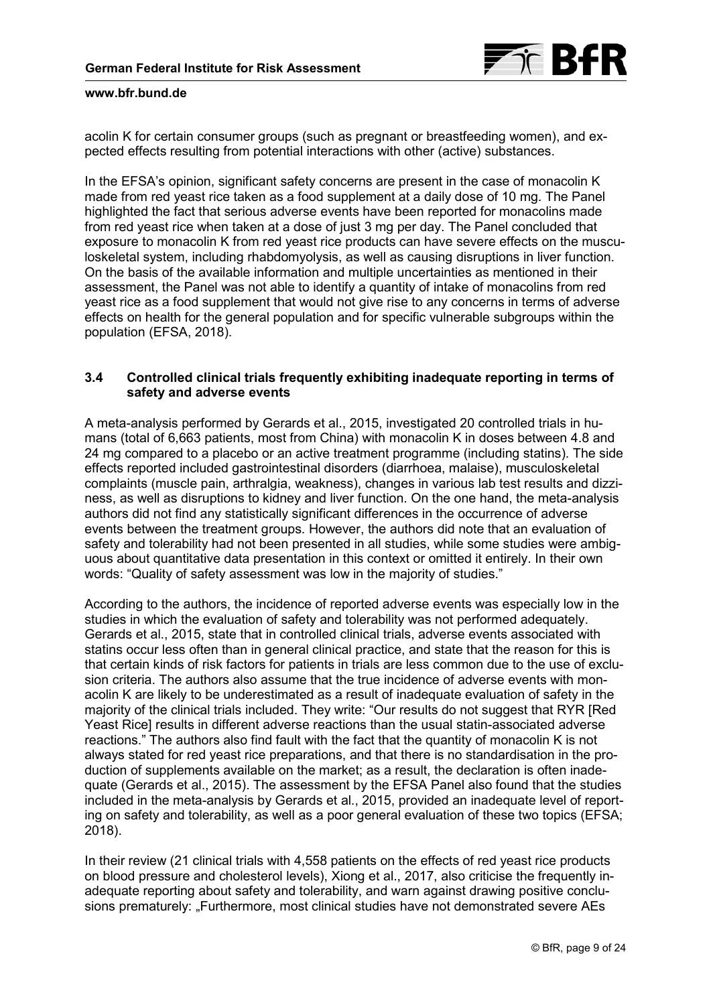

<span id="page-8-0"></span>acolin K for certain consumer groups (such as pregnant or breastfeeding women), and expected effects resulting from potential interactions with other (active) substances.

In the EFSA's opinion, significant safety concerns are present in the case of monacolin K made from red yeast rice taken as a food supplement at a daily dose of 10 mg. The Panel highlighted the fact that serious adverse events have been reported for monacolins made from red yeast rice when taken at a dose of just 3 mg per day. The Panel concluded that exposure to monacolin K from red yeast rice products can have severe effects on the musculoskeletal system, including rhabdomyolysis, as well as causing disruptions in liver function. On the basis of the available information and multiple uncertainties as mentioned in their assessment, the Panel was not able to identify a quantity of intake of monacolins from red yeast rice as a food supplement that would not give rise to any concerns in terms of adverse effects on health for the general population and for specific vulnerable subgroups within the population (EFSA, 2018).

# **3.4 Controlled clinical trials frequently exhibiting inadequate reporting in terms of safety and adverse events**

A meta-analysis performed by Gerards et al., 2015, investigated 20 controlled trials in humans (total of 6,663 patients, most from China) with monacolin K in doses between 4.8 and 24 mg compared to a placebo or an active treatment programme (including statins). The side effects reported included gastrointestinal disorders (diarrhoea, malaise), musculoskeletal complaints (muscle pain, arthralgia, weakness), changes in various lab test results and dizziness, as well as disruptions to kidney and liver function. On the one hand, the meta-analysis authors did not find any statistically significant differences in the occurrence of adverse events between the treatment groups. However, the authors did note that an evaluation of safety and tolerability had not been presented in all studies, while some studies were ambiguous about quantitative data presentation in this context or omitted it entirely. In their own words: "Quality of safety assessment was low in the majority of studies."

According to the authors, the incidence of reported adverse events was especially low in the studies in which the evaluation of safety and tolerability was not performed adequately. Gerards et al., 2015, state that in controlled clinical trials, adverse events associated with statins occur less often than in general clinical practice, and state that the reason for this is that certain kinds of risk factors for patients in trials are less common due to the use of exclusion criteria. The authors also assume that the true incidence of adverse events with monacolin K are likely to be underestimated as a result of inadequate evaluation of safety in the majority of the clinical trials included. They write: "Our results do not suggest that RYR [Red Yeast Rice] results in different adverse reactions than the usual statin-associated adverse reactions." The authors also find fault with the fact that the quantity of monacolin K is not always stated for red yeast rice preparations, and that there is no standardisation in the production of supplements available on the market; as a result, the declaration is often inadequate (Gerards et al., 2015). The assessment by the EFSA Panel also found that the studies included in the meta-analysis by Gerards et al., 2015, provided an inadequate level of reporting on safety and tolerability, as well as a poor general evaluation of these two topics (EFSA; 2018).

In their review (21 clinical trials with 4,558 patients on the effects of red yeast rice products on blood pressure and cholesterol levels), Xiong et al., 2017, also criticise the frequently inadequate reporting about safety and tolerability, and warn against drawing positive conclusions prematurely: "Furthermore, most clinical studies have not demonstrated severe AEs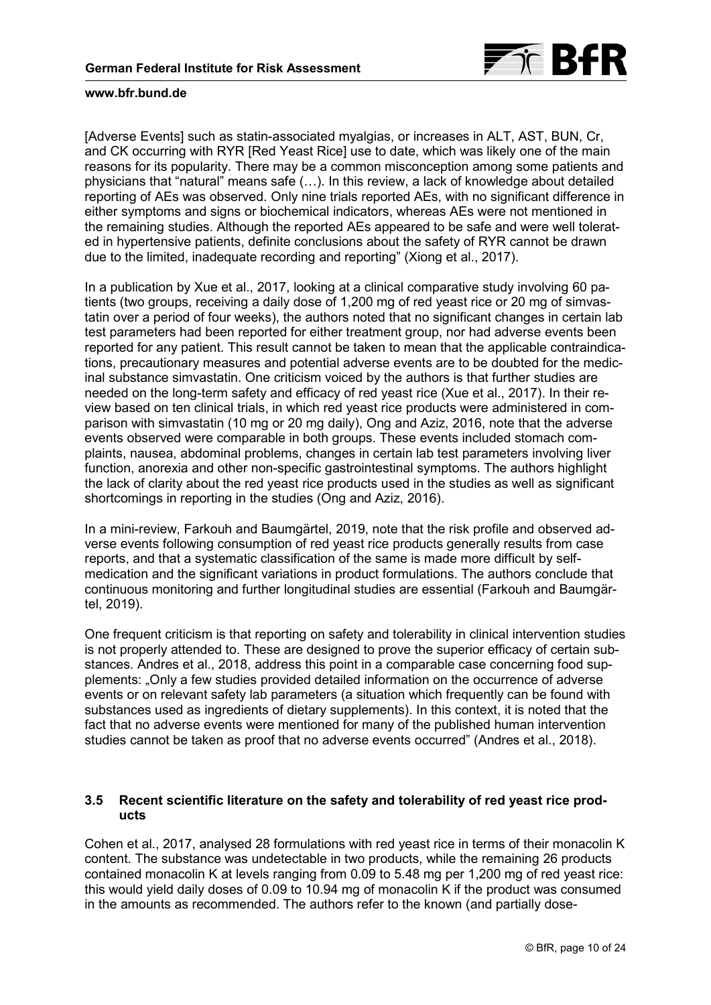

[Adverse Events] such as statin-associated myalgias, or increases in ALT, AST, BUN, Cr, and CK occurring with RYR [Red Yeast Rice] use to date, which was likely one of the main reasons for its popularity. There may be a common misconception among some patients and physicians that "natural" means safe (…). In this review, a lack of knowledge about detailed reporting of AEs was observed. Only nine trials reported AEs, with no significant difference in either symptoms and signs or biochemical indicators, whereas AEs were not mentioned in the remaining studies. Although the reported AEs appeared to be safe and were well tolerated in hypertensive patients, definite conclusions about the safety of RYR cannot be drawn due to the limited, inadequate recording and reporting" (Xiong et al., 2017).

In a publication by Xue et al., 2017, looking at a clinical comparative study involving 60 patients (two groups, receiving a daily dose of 1,200 mg of red yeast rice or 20 mg of simvastatin over a period of four weeks), the authors noted that no significant changes in certain lab test parameters had been reported for either treatment group, nor had adverse events been reported for any patient. This result cannot be taken to mean that the applicable contraindications, precautionary measures and potential adverse events are to be doubted for the medicinal substance simvastatin. One criticism voiced by the authors is that further studies are needed on the long-term safety and efficacy of red yeast rice (Xue et al., 2017). In their review based on ten clinical trials, in which red yeast rice products were administered in comparison with simvastatin (10 mg or 20 mg daily), Ong and Aziz, 2016, note that the adverse events observed were comparable in both groups. These events included stomach complaints, nausea, abdominal problems, changes in certain lab test parameters involving liver function, anorexia and other non-specific gastrointestinal symptoms. The authors highlight the lack of clarity about the red yeast rice products used in the studies as well as significant shortcomings in reporting in the studies (Ong and Aziz, 2016).

In a mini-review, Farkouh and Baumgärtel, 2019, note that the risk profile and observed adverse events following consumption of red yeast rice products generally results from case reports, and that a systematic classification of the same is made more difficult by selfmedication and the significant variations in product formulations. The authors conclude that continuous monitoring and further longitudinal studies are essential (Farkouh and Baumgärtel, 2019).

One frequent criticism is that reporting on safety and tolerability in clinical intervention studies is not properly attended to. These are designed to prove the superior efficacy of certain substances. Andres et al., 2018, address this point in a comparable case concerning food supplements: "Only a few studies provided detailed information on the occurrence of adverse events or on relevant safety lab parameters (a situation which frequently can be found with substances used as ingredients of dietary supplements). In this context, it is noted that the fact that no adverse events were mentioned for many of the published human intervention studies cannot be taken as proof that no adverse events occurred" (Andres et al., 2018).

# **3.5 Recent scientific literature on the safety and tolerability of red yeast rice products**

Cohen et al., 2017, analysed 28 formulations with red yeast rice in terms of their monacolin K content. The substance was undetectable in two products, while the remaining 26 products contained monacolin K at levels ranging from 0.09 to 5.48 mg per 1,200 mg of red yeast rice: this would yield daily doses of 0.09 to 10.94 mg of monacolin K if the product was consumed in the amounts as recommended. The authors refer to the known (and partially dose-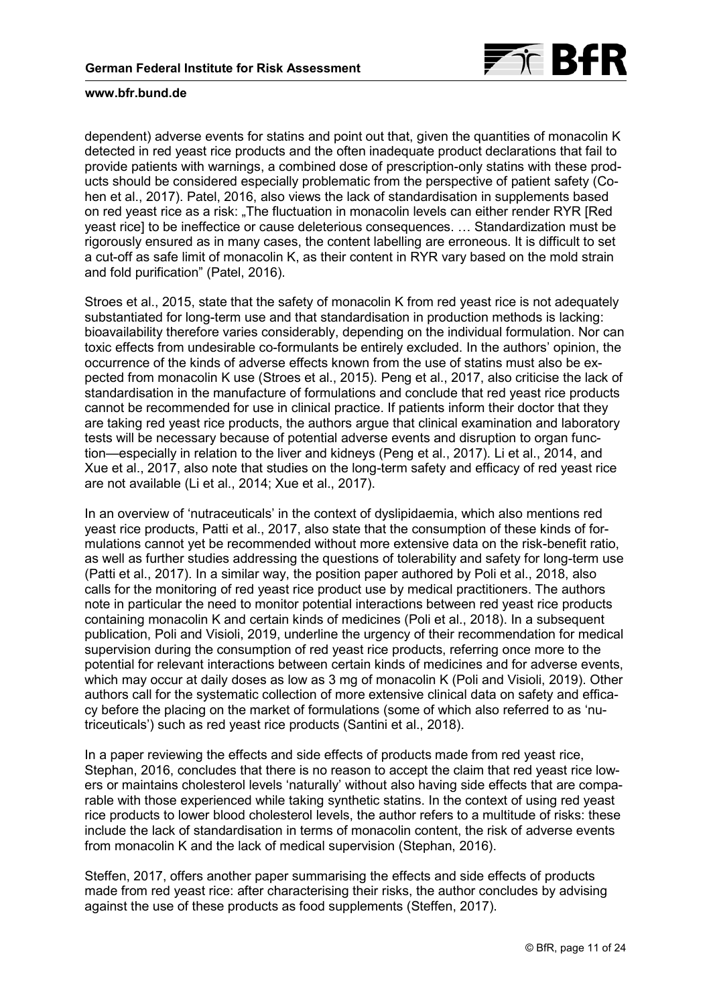

dependent) adverse events for statins and point out that, given the quantities of monacolin K detected in red yeast rice products and the often inadequate product declarations that fail to provide patients with warnings, a combined dose of prescription-only statins with these products should be considered especially problematic from the perspective of patient safety (Cohen et al., 2017). Patel, 2016, also views the lack of standardisation in supplements based on red yeast rice as a risk: "The fluctuation in monacolin levels can either render RYR [Red yeast rice] to be ineffectice or cause deleterious consequences. … Standardization must be rigorously ensured as in many cases, the content labelling are erroneous. It is difficult to set a cut-off as safe limit of monacolin K, as their content in RYR vary based on the mold strain and fold purification" (Patel, 2016).

Stroes et al., 2015, state that the safety of monacolin K from red yeast rice is not adequately substantiated for long-term use and that standardisation in production methods is lacking: bioavailability therefore varies considerably, depending on the individual formulation. Nor can toxic effects from undesirable co-formulants be entirely excluded. In the authors' opinion, the occurrence of the kinds of adverse effects known from the use of statins must also be expected from monacolin K use (Stroes et al., 2015). Peng et al., 2017, also criticise the lack of standardisation in the manufacture of formulations and conclude that red yeast rice products cannot be recommended for use in clinical practice. If patients inform their doctor that they are taking red yeast rice products, the authors argue that clinical examination and laboratory tests will be necessary because of potential adverse events and disruption to organ function—especially in relation to the liver and kidneys (Peng et al., 2017). Li et al., 2014, and Xue et al., 2017, also note that studies on the long-term safety and efficacy of red yeast rice are not available (Li et al., 2014; Xue et al., 2017).

In an overview of 'nutraceuticals' in the context of dyslipidaemia, which also mentions red yeast rice products, Patti et al., 2017, also state that the consumption of these kinds of formulations cannot yet be recommended without more extensive data on the risk-benefit ratio, as well as further studies addressing the questions of tolerability and safety for long-term use (Patti et al., 2017). In a similar way, the position paper authored by Poli et al., 2018, also calls for the monitoring of red yeast rice product use by medical practitioners. The authors note in particular the need to monitor potential interactions between red yeast rice products containing monacolin K and certain kinds of medicines (Poli et al., 2018). In a subsequent publication, Poli and Visioli, 2019, underline the urgency of their recommendation for medical supervision during the consumption of red yeast rice products, referring once more to the potential for relevant interactions between certain kinds of medicines and for adverse events, which may occur at daily doses as low as 3 mg of monacolin K (Poli and Visioli, 2019). Other authors call for the systematic collection of more extensive clinical data on safety and efficacy before the placing on the market of formulations (some of which also referred to as 'nutriceuticals') such as red yeast rice products (Santini et al., 2018).

In a paper reviewing the effects and side effects of products made from red yeast rice, Stephan, 2016, concludes that there is no reason to accept the claim that red yeast rice lowers or maintains cholesterol levels 'naturally' without also having side effects that are comparable with those experienced while taking synthetic statins. In the context of using red yeast rice products to lower blood cholesterol levels, the author refers to a multitude of risks: these include the lack of standardisation in terms of monacolin content, the risk of adverse events from monacolin K and the lack of medical supervision (Stephan, 2016).

Steffen, 2017, offers another paper summarising the effects and side effects of products made from red yeast rice: after characterising their risks, the author concludes by advising against the use of these products as food supplements (Steffen, 2017).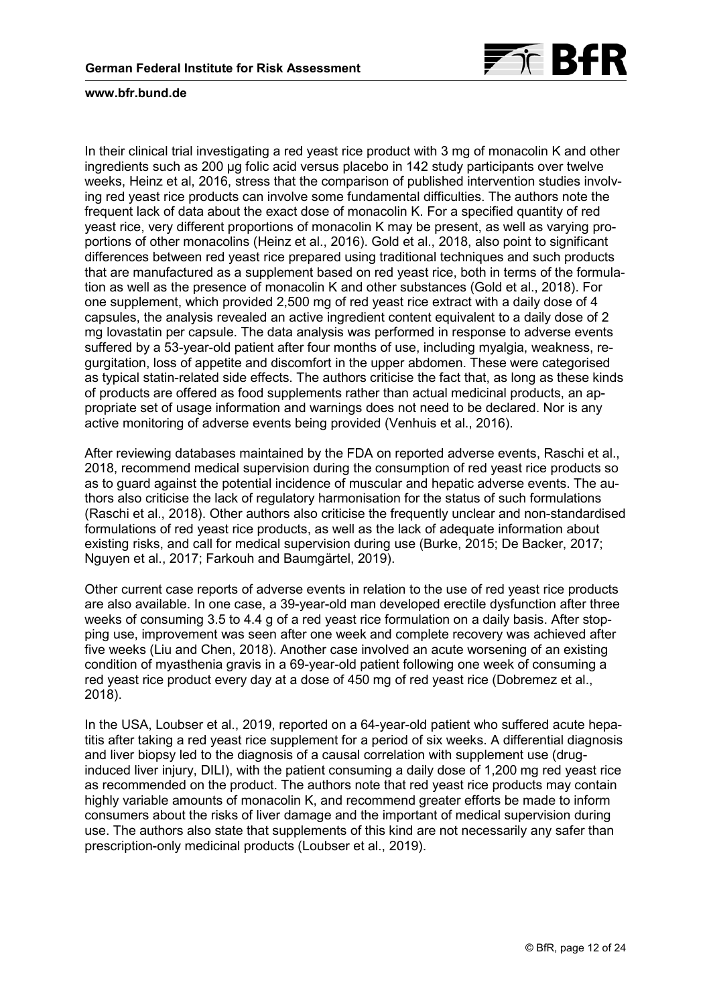

In their clinical trial investigating a red yeast rice product with 3 mg of monacolin K and other ingredients such as 200 µg folic acid versus placebo in 142 study participants over twelve weeks, Heinz et al, 2016, stress that the comparison of published intervention studies involving red yeast rice products can involve some fundamental difficulties. The authors note the frequent lack of data about the exact dose of monacolin K. For a specified quantity of red yeast rice, very different proportions of monacolin K may be present, as well as varying proportions of other monacolins (Heinz et al., 2016). Gold et al., 2018, also point to significant differences between red yeast rice prepared using traditional techniques and such products that are manufactured as a supplement based on red yeast rice, both in terms of the formulation as well as the presence of monacolin K and other substances (Gold et al., 2018). For one supplement, which provided 2,500 mg of red yeast rice extract with a daily dose of 4 capsules, the analysis revealed an active ingredient content equivalent to a daily dose of 2 mg lovastatin per capsule. The data analysis was performed in response to adverse events suffered by a 53-year-old patient after four months of use, including myalgia, weakness, regurgitation, loss of appetite and discomfort in the upper abdomen. These were categorised as typical statin-related side effects. The authors criticise the fact that, as long as these kinds of products are offered as food supplements rather than actual medicinal products, an appropriate set of usage information and warnings does not need to be declared. Nor is any active monitoring of adverse events being provided (Venhuis et al., 2016).

After reviewing databases maintained by the FDA on reported adverse events, Raschi et al., 2018, recommend medical supervision during the consumption of red yeast rice products so as to guard against the potential incidence of muscular and hepatic adverse events. The authors also criticise the lack of regulatory harmonisation for the status of such formulations (Raschi et al., 2018). Other authors also criticise the frequently unclear and non-standardised formulations of red yeast rice products, as well as the lack of adequate information about existing risks, and call for medical supervision during use (Burke, 2015; De Backer, 2017; Nguyen et al., 2017; Farkouh and Baumgärtel, 2019).

Other current case reports of adverse events in relation to the use of red yeast rice products are also available. In one case, a 39-year-old man developed erectile dysfunction after three weeks of consuming 3.5 to 4.4 g of a red yeast rice formulation on a daily basis. After stopping use, improvement was seen after one week and complete recovery was achieved after five weeks (Liu and Chen, 2018). Another case involved an acute worsening of an existing condition of myasthenia gravis in a 69-year-old patient following one week of consuming a red yeast rice product every day at a dose of 450 mg of red yeast rice (Dobremez et al., 2018).

In the USA, Loubser et al., 2019, reported on a 64-year-old patient who suffered acute hepatitis after taking a red yeast rice supplement for a period of six weeks. A differential diagnosis and liver biopsy led to the diagnosis of a causal correlation with supplement use (druginduced liver injury, DILI), with the patient consuming a daily dose of 1,200 mg red yeast rice as recommended on the product. The authors note that red yeast rice products may contain highly variable amounts of monacolin K, and recommend greater efforts be made to inform consumers about the risks of liver damage and the important of medical supervision during use. The authors also state that supplements of this kind are not necessarily any safer than prescription-only medicinal products (Loubser et al., 2019).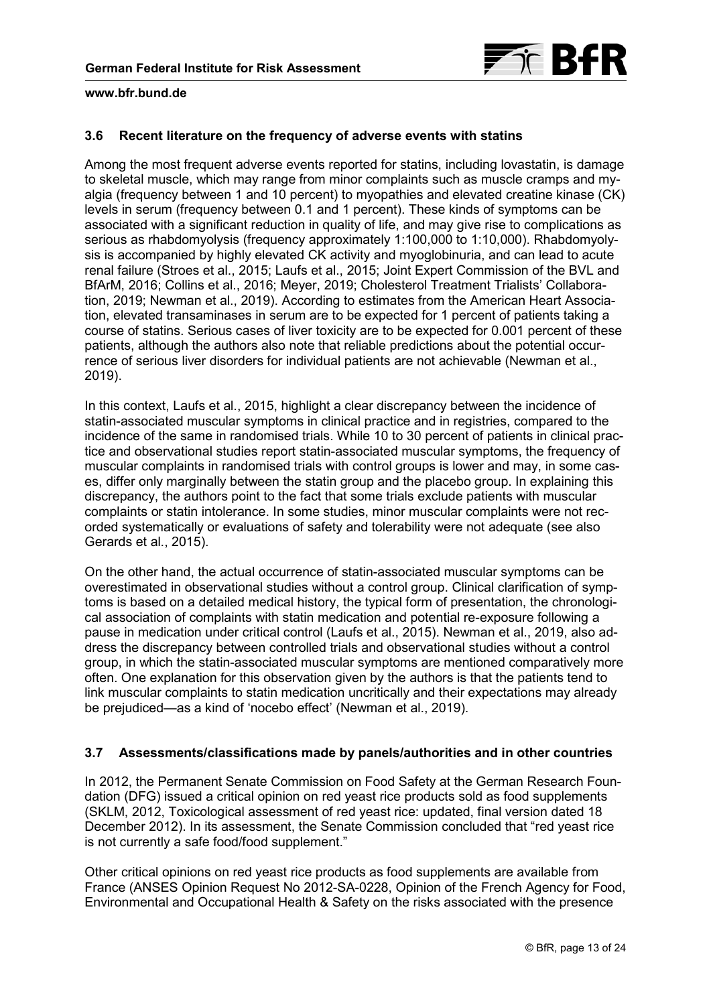

# <span id="page-12-0"></span>**3.6 Recent literature on the frequency of adverse events with statins**

Among the most frequent adverse events reported for statins, including lovastatin, is damage to skeletal muscle, which may range from minor complaints such as muscle cramps and myalgia (frequency between 1 and 10 percent) to myopathies and elevated creatine kinase (CK) levels in serum (frequency between 0.1 and 1 percent). These kinds of symptoms can be associated with a significant reduction in quality of life, and may give rise to complications as serious as rhabdomyolysis (frequency approximately 1:100,000 to 1:10,000). Rhabdomyolysis is accompanied by highly elevated CK activity and myoglobinuria, and can lead to acute renal failure (Stroes et al., 2015; Laufs et al., 2015; Joint Expert Commission of the BVL and BfArM, 2016; Collins et al., 2016; Meyer, 2019; Cholesterol Treatment Trialists' Collaboration, 2019; Newman et al., 2019). According to estimates from the American Heart Association, elevated transaminases in serum are to be expected for 1 percent of patients taking a course of statins. Serious cases of liver toxicity are to be expected for 0.001 percent of these patients, although the authors also note that reliable predictions about the potential occurrence of serious liver disorders for individual patients are not achievable (Newman et al., 2019).

In this context, Laufs et al., 2015, highlight a clear discrepancy between the incidence of statin-associated muscular symptoms in clinical practice and in registries, compared to the incidence of the same in randomised trials. While 10 to 30 percent of patients in clinical practice and observational studies report statin-associated muscular symptoms, the frequency of muscular complaints in randomised trials with control groups is lower and may, in some cases, differ only marginally between the statin group and the placebo group. In explaining this discrepancy, the authors point to the fact that some trials exclude patients with muscular complaints or statin intolerance. In some studies, minor muscular complaints were not recorded systematically or evaluations of safety and tolerability were not adequate (see also Gerards et al., 2015).

On the other hand, the actual occurrence of statin-associated muscular symptoms can be overestimated in observational studies without a control group. Clinical clarification of symptoms is based on a detailed medical history, the typical form of presentation, the chronological association of complaints with statin medication and potential re-exposure following a pause in medication under critical control (Laufs et al., 2015). Newman et al., 2019, also address the discrepancy between controlled trials and observational studies without a control group, in which the statin-associated muscular symptoms are mentioned comparatively more often. One explanation for this observation given by the authors is that the patients tend to link muscular complaints to statin medication uncritically and their expectations may already be prejudiced—as a kind of 'nocebo effect' (Newman et al., 2019).

# **3.7 Assessments/classifications made by panels/authorities and in other countries**

In 2012, the Permanent Senate Commission on Food Safety at the German Research Foundation (DFG) issued a critical opinion on red yeast rice products sold as food supplements (SKLM, 2012, Toxicological assessment of red yeast rice: updated, final version dated 18 December 2012). In its assessment, the Senate Commission concluded that "red yeast rice is not currently a safe food/food supplement."

Other critical opinions on red yeast rice products as food supplements are available from France (ANSES Opinion Request No 2012-SA-0228, Opinion of the French Agency for Food, Environmental and Occupational Health & Safety on the risks associated with the presence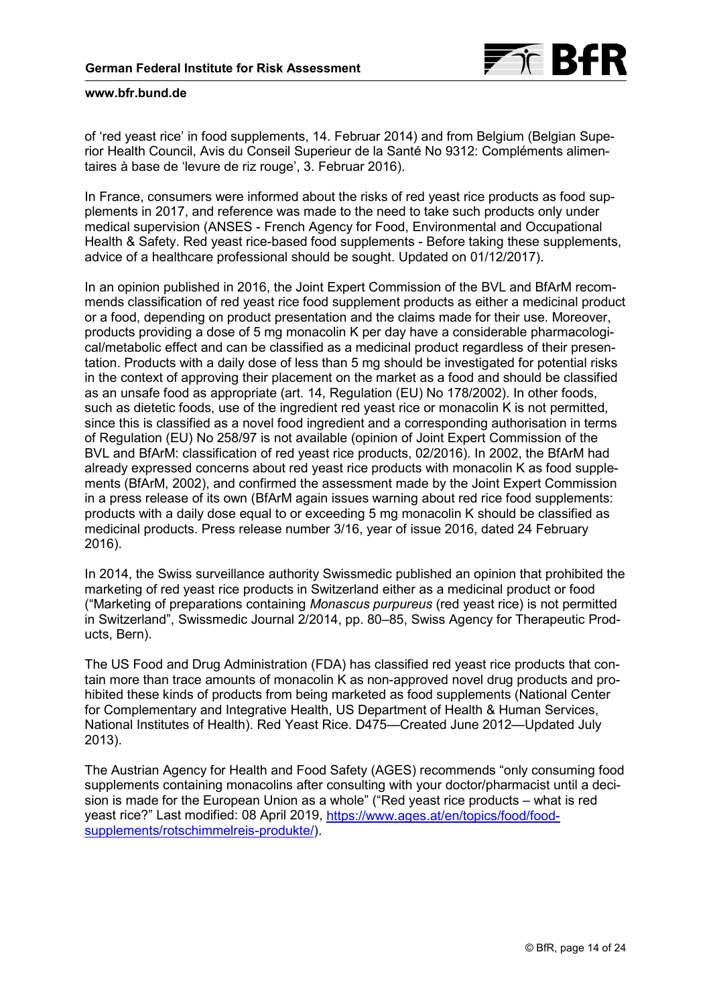

of 'red yeast rice' in food supplements, 14. Februar 2014) and from Belgium (Belgian Superior Health Council, Avis du Conseil Superieur de la Santé No 9312: Compléments alimentaires à base de 'levure de riz rouge', 3. Februar 2016).

In France, consumers were informed about the risks of red yeast rice products as food supplements in 2017, and reference was made to the need to take such products only under medical supervision (ANSES - French Agency for Food, Environmental and Occupational Health & Safety. Red yeast rice-based food supplements - Before taking these supplements, advice of a healthcare professional should be sought. Updated on 01/12/2017).

In an opinion published in 2016, the Joint Expert Commission of the BVL and BfArM recommends classification of red yeast rice food supplement products as either a medicinal product or a food, depending on product presentation and the claims made for their use. Moreover, products providing a dose of 5 mg monacolin K per day have a considerable pharmacological/metabolic effect and can be classified as a medicinal product regardless of their presentation. Products with a daily dose of less than 5 mg should be investigated for potential risks in the context of approving their placement on the market as a food and should be classified as an unsafe food as appropriate (art. 14, Regulation (EU) No 178/2002). In other foods, such as dietetic foods, use of the ingredient red yeast rice or monacolin K is not permitted, since this is classified as a novel food ingredient and a corresponding authorisation in terms of Regulation (EU) No 258/97 is not available (opinion of Joint Expert Commission of the BVL and BfArM: classification of red yeast rice products, 02/2016). In 2002, the BfArM had already expressed concerns about red yeast rice products with monacolin K as food supplements (BfArM, 2002), and confirmed the assessment made by the Joint Expert Commission in a press release of its own (BfArM again issues warning about red rice food supplements: products with a daily dose equal to or exceeding 5 mg monacolin K should be classified as medicinal products. Press release number 3/16, year of issue 2016, dated 24 February 2016).

In 2014, the Swiss surveillance authority Swissmedic published an opinion that prohibited the marketing of red yeast rice products in Switzerland either as a medicinal product or food ("Marketing of preparations containing *Monascus purpureus* (red yeast rice) is not permitted in Switzerland", Swissmedic Journal 2/2014, pp. 80–85, Swiss Agency for Therapeutic Products, Bern).

The US Food and Drug Administration (FDA) has classified red yeast rice products that contain more than trace amounts of monacolin K as non-approved novel drug products and prohibited these kinds of products from being marketed as food supplements (National Center for Complementary and Integrative Health, US Department of Health & Human Services, National Institutes of Health). Red Yeast Rice. D475—Created June 2012—Updated July 2013).

The Austrian Agency for Health and Food Safety (AGES) recommends "only consuming food supplements containing monacolins after consulting with your doctor/pharmacist until a decision is made for the European Union as a whole" ("Red yeast rice products – what is red [yeast rice?" Last modified: 08 April 2019, https://www.ages.at/en/topics/food/food](https://www.ages.at/en/topics/food/food-supplements/rotschimmelreis-produkte/)supplements/rotschimmelreis-produkte/).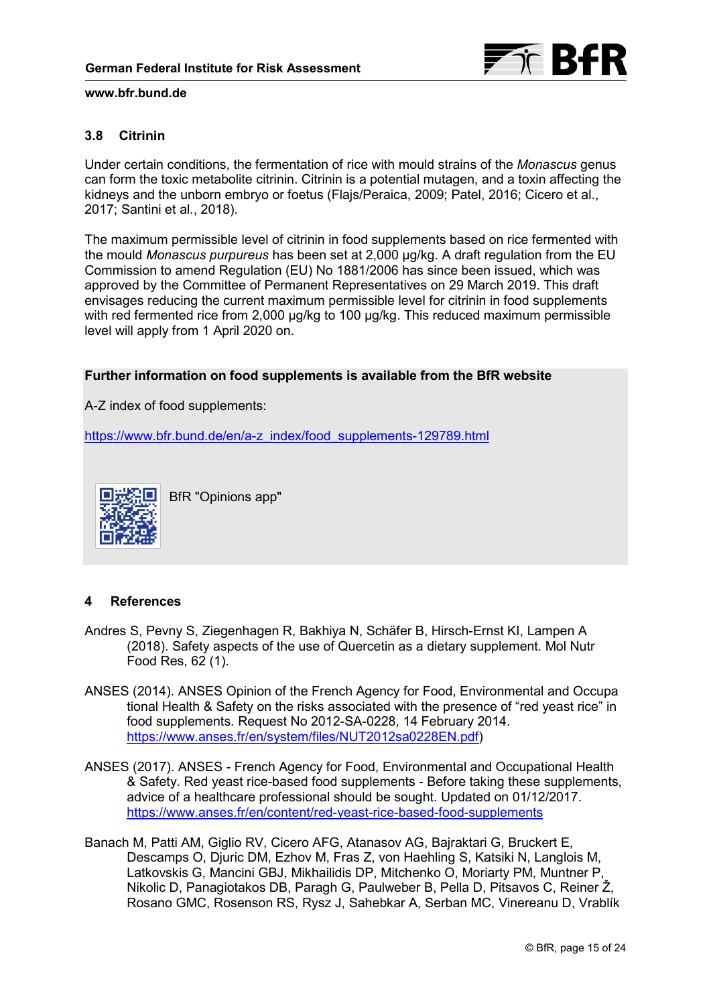

# **3.8 Citrinin**

Under certain conditions, the fermentation of rice with mould strains of the *Monascus* genus can form the toxic metabolite citrinin. Citrinin is a potential mutagen, and a toxin affecting the kidneys and the unborn embryo or foetus (Flajs/Peraica, 2009; Patel, 2016; Cicero et al., 2017; Santini et al., 2018).

The maximum permissible level of citrinin in food supplements based on rice fermented with the mould *Monascus purpureus* has been set at 2,000 μg/kg. A draft regulation from the EU Commission to amend Regulation (EU) No 1881/2006 has since been issued, which was approved by the Committee of Permanent Representatives on 29 March 2019. This draft envisages reducing the current maximum permissible level for citrinin in food supplements with red fermented rice from 2,000 µg/kg to 100 µg/kg. This reduced maximum permissible level will apply from 1 April 2020 on.

# **Further information on food supplements is available from the BfR website**

A-Z index of food supplements:

[https://www.bfr.bund.de/en/a-z\\_index/food\\_supplements-129789.html](https://www.bfr.bund.de/en/a-z_index/food_supplements-129789.html)



BfR "Opinions app"

# **4 References**

- Andres S, Pevny S, Ziegenhagen R, Bakhiya N, Schäfer B, Hirsch-Ernst KI, Lampen A (2018). Safety aspects of the use of Quercetin as a dietary supplement. Mol Nutr Food Res, 62 (1).
- ANSES (2014). ANSES Opinion of the French Agency for Food, Environmental and Occupa tional Health & Safety on the risks associated with the presence of "red yeast rice" in food supplements. Request No 2012-SA-0228, 14 February 2014. [https://www.anses.fr/en/system/files/NUT2012sa0228EN.pdf\)](https://www.anses.fr/en/system/files/NUT2012sa0228EN.pdf)
- ANSES (2017). ANSES French Agency for Food, Environmental and Occupational Health & Safety. Red yeast rice-based food supplements - Before taking these supplements, advice of a healthcare professional should be sought. Updated on 01/12/2017. <https://www.anses.fr/en/content/red-yeast-rice-based-food-supplements>
- Banach M, Patti AM, Giglio RV, Cicero AFG, Atanasov AG, Bajraktari G, Bruckert E, Descamps O, Djuric DM, Ezhov M, Fras Z, von Haehling S, Katsiki N, Langlois M, Latkovskis G, Mancini GBJ, Mikhailidis DP, Mitchenko O, Moriarty PM, Muntner P, Nikolic D, Panagiotakos DB, Paragh G, Paulweber B, Pella D, Pitsavos C, Reiner Ž, Rosano GMC, Rosenson RS, Rysz J, Sahebkar A, Serban MC, Vinereanu D, Vrablík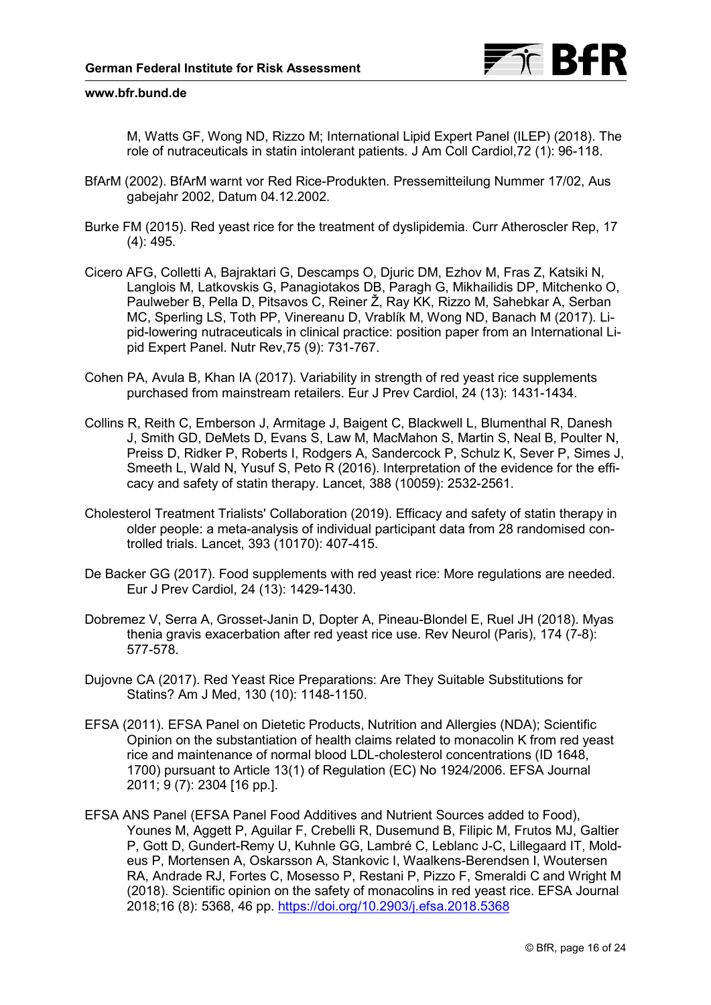

M, Watts GF, Wong ND, Rizzo M; International Lipid Expert Panel (ILEP) (2018). The role of nutraceuticals in statin intolerant patients. J Am Coll Cardiol,72 (1): 96-118.

- BfArM (2002). BfArM warnt vor Red Rice-Produkten. Pressemitteilung Nummer 17/02, Aus gabejahr 2002, Datum 04.12.2002.
- Burke FM (2015). Red yeast rice for the treatment of dyslipidemia. Curr Atheroscler Rep, 17 (4): 495.
- Cicero AFG, Colletti A, Bajraktari G, Descamps O, Djuric DM, Ezhov M, Fras Z, Katsiki N, Langlois M, Latkovskis G, Panagiotakos DB, Paragh G, Mikhailidis DP, Mitchenko O, Paulweber B, Pella D, Pitsavos C, Reiner Ž, Ray KK, Rizzo M, Sahebkar A, Serban MC, Sperling LS, Toth PP, Vinereanu D, Vrablík M, Wong ND, Banach M (2017). Lipid-lowering nutraceuticals in clinical practice: position paper from an International Lipid Expert Panel. Nutr Rev,75 (9): 731-767.
- Cohen PA, Avula B, Khan IA (2017). Variability in strength of red yeast rice supplements purchased from mainstream retailers. Eur J Prev Cardiol, 24 (13): 1431-1434.
- Collins R, Reith C, Emberson J, Armitage J, Baigent C, Blackwell L, Blumenthal R, Danesh J, Smith GD, DeMets D, Evans S, Law M, MacMahon S, Martin S, Neal B, Poulter N, Preiss D, Ridker P, Roberts I, Rodgers A, Sandercock P, Schulz K, Sever P, Simes J, Smeeth L, Wald N, Yusuf S, Peto R (2016). Interpretation of the evidence for the efficacy and safety of statin therapy. Lancet, 388 (10059): 2532-2561.
- Cholesterol Treatment Trialists' Collaboration (2019). Efficacy and safety of statin therapy in older people: a meta-analysis of individual participant data from 28 randomised controlled trials. Lancet, 393 (10170): 407-415.
- De Backer GG (2017). Food supplements with red yeast rice: More regulations are needed. Eur J Prev Cardiol, 24 (13): 1429-1430.
- Dobremez V, Serra A, Grosset-Janin D, Dopter A, Pineau-Blondel E, Ruel JH (2018). Myas thenia gravis exacerbation after red yeast rice use. Rev Neurol (Paris), 174 (7-8): 577-578.
- Dujovne CA (2017). Red Yeast Rice Preparations: Are They Suitable Substitutions for Statins? Am J Med, 130 (10): 1148-1150.
- EFSA (2011). EFSA Panel on Dietetic Products, Nutrition and Allergies (NDA); Scientific Opinion on the substantiation of health claims related to monacolin K from red yeast rice and maintenance of normal blood LDL-cholesterol concentrations (ID 1648, 1700) pursuant to Article 13(1) of Regulation (EC) No 1924/2006. EFSA Journal 2011; 9 (7): 2304 [16 pp.].
- EFSA ANS Panel (EFSA Panel Food Additives and Nutrient Sources added to Food), Younes M, Aggett P, Aguilar F, Crebelli R, Dusemund B, Filipic M, Frutos MJ, Galtier P, Gott D, Gundert-Remy U, Kuhnle GG, Lambré C, Leblanc J-C, Lillegaard IT, Moldeus P, Mortensen A, Oskarsson A, Stankovic I, Waalkens-Berendsen I, Woutersen RA, Andrade RJ, Fortes C, Mosesso P, Restani P, Pizzo F, Smeraldi C and Wright M (2018). Scientific opinion on the safety of monacolins in red yeast rice. EFSA Journal 2018;16 (8): 5368, 46 pp.<https://doi.org/10.2903/j.efsa.2018.5368>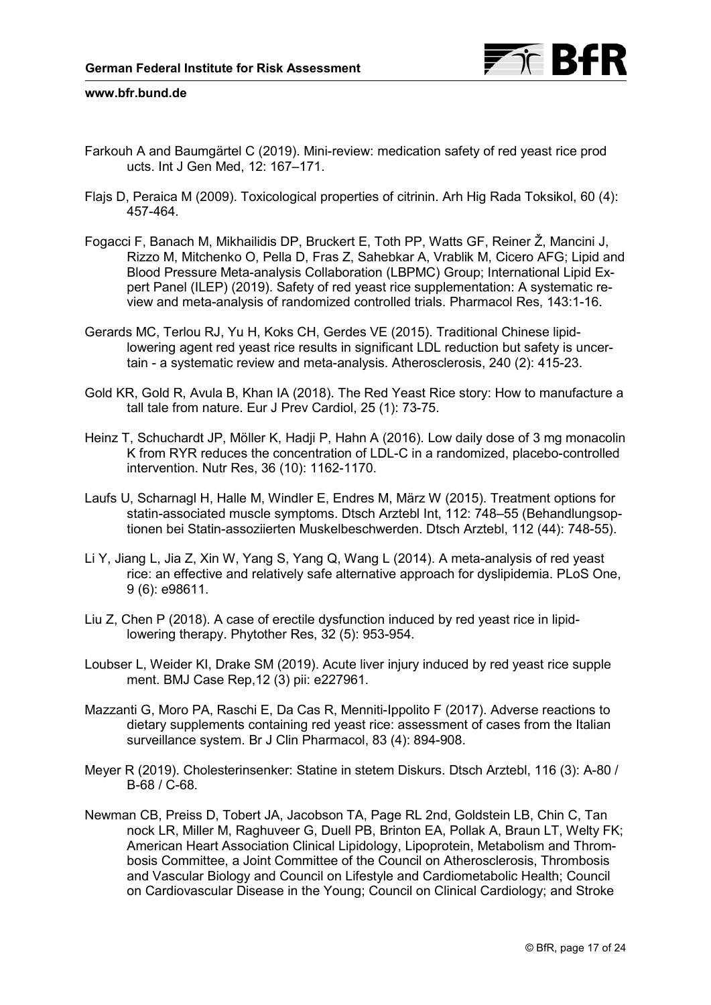

- Farkouh A and Baumgärtel C (2019). Mini-review: medication safety of red yeast rice prod ucts. Int J Gen Med, 12: 167–171.
- Flajs D, Peraica M (2009). Toxicological properties of citrinin. Arh Hig Rada Toksikol, 60 (4): 457-464.
- Fogacci F, Banach M, Mikhailidis DP, Bruckert E, Toth PP, Watts GF, Reiner Ž, Mancini J, Rizzo M, Mitchenko O, Pella D, Fras Z, Sahebkar A, Vrablik M, Cicero AFG; Lipid and Blood Pressure Meta-analysis Collaboration (LBPMC) Group; International Lipid Expert Panel (ILEP) (2019). Safety of red yeast rice supplementation: A systematic review and meta-analysis of randomized controlled trials. Pharmacol Res, 143:1-16.
- Gerards MC, Terlou RJ, Yu H, Koks CH, Gerdes VE (2015). Traditional Chinese lipidlowering agent red yeast rice results in significant LDL reduction but safety is uncertain - a systematic review and meta-analysis. Atherosclerosis, 240 (2): 415-23.
- Gold KR, Gold R, Avula B, Khan IA (2018). The Red Yeast Rice story: How to manufacture a tall tale from nature. Eur J Prev Cardiol, 25 (1): 73-75.
- Heinz T, Schuchardt JP, Möller K, Hadji P, Hahn A (2016). Low daily dose of 3 mg monacolin K from RYR reduces the concentration of LDL-C in a randomized, placebo-controlled intervention. Nutr Res, 36 (10): 1162-1170.
- Laufs U, Scharnagl H, Halle M, Windler E, Endres M, März W (2015). Treatment options for statin-associated muscle symptoms. Dtsch Arztebl Int, 112: 748–55 (Behandlungsoptionen bei Statin-assoziierten Muskelbeschwerden. Dtsch Arztebl, 112 (44): 748-55).
- Li Y, Jiang L, Jia Z, Xin W, Yang S, Yang Q, Wang L (2014). A meta-analysis of red yeast rice: an effective and relatively safe alternative approach for dyslipidemia. PLoS One, 9 (6): e98611.
- Liu Z, Chen P (2018). A case of erectile dysfunction induced by red yeast rice in lipidlowering therapy. Phytother Res, 32 (5): 953-954.
- Loubser L, Weider KI, Drake SM (2019). Acute liver injury induced by red yeast rice supple ment. BMJ Case Rep,12 (3) pii: e227961.
- Mazzanti G, Moro PA, Raschi E, Da Cas R, Menniti-Ippolito F (2017). Adverse reactions to dietary supplements containing red yeast rice: assessment of cases from the Italian surveillance system. Br J Clin Pharmacol, 83 (4): 894-908.
- Meyer R (2019). Cholesterinsenker: Statine in stetem Diskurs. Dtsch Arztebl, 116 (3): A-80 / B-68 / C-68.
- Newman CB, Preiss D, Tobert JA, Jacobson TA, Page RL 2nd, Goldstein LB, Chin C, Tan nock LR, Miller M, Raghuveer G, Duell PB, Brinton EA, Pollak A, Braun LT, Welty FK; American Heart Association Clinical Lipidology, Lipoprotein, Metabolism and Thrombosis Committee, a Joint Committee of the Council on Atherosclerosis, Thrombosis and Vascular Biology and Council on Lifestyle and Cardiometabolic Health; Council on Cardiovascular Disease in the Young; Council on Clinical Cardiology; and Stroke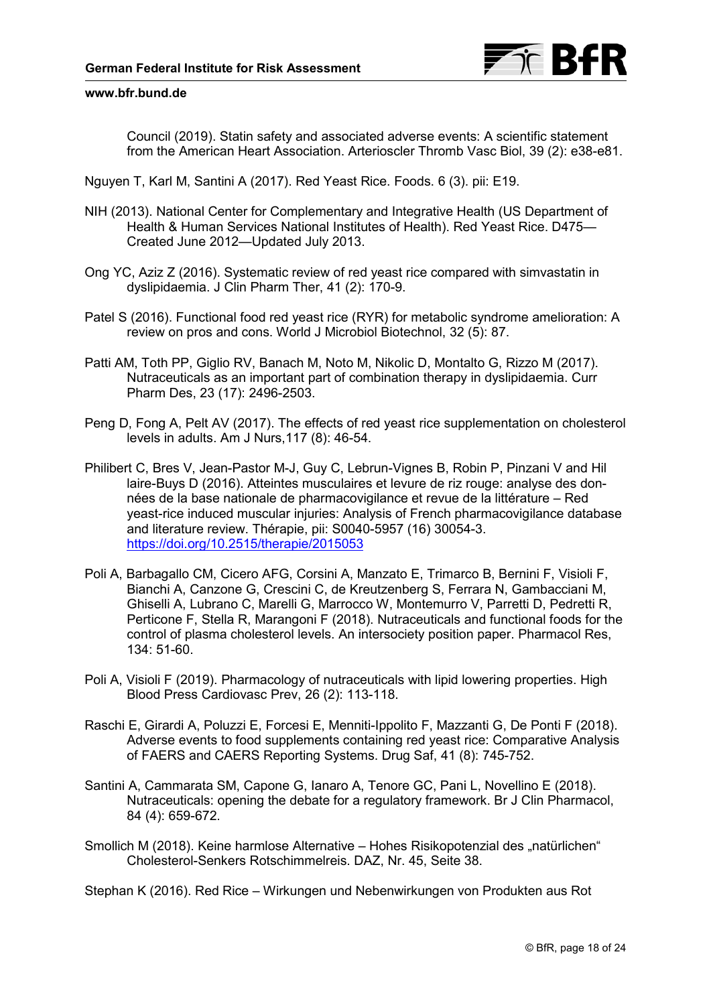

Council (2019). Statin safety and associated adverse events: A scientific statement from the American Heart Association. Arterioscler Thromb Vasc Biol, 39 (2): e38-e81.

Nguyen T, Karl M, Santini A (2017). Red Yeast Rice. Foods. 6 (3). pii: E19.

- NIH (2013). National Center for Complementary and Integrative Health (US Department of Health & Human Services National Institutes of Health). Red Yeast Rice. D475— Created June 2012—Updated July 2013.
- Ong YC, Aziz Z (2016). Systematic review of red yeast rice compared with simvastatin in dyslipidaemia. J Clin Pharm Ther, 41 (2): 170-9.
- Patel S (2016). Functional food red yeast rice (RYR) for metabolic syndrome amelioration: A review on pros and cons. World J Microbiol Biotechnol, 32 (5): 87.
- Patti AM, Toth PP, Giglio RV, Banach M, Noto M, Nikolic D, Montalto G, Rizzo M (2017). Nutraceuticals as an important part of combination therapy in dyslipidaemia. Curr Pharm Des, 23 (17): 2496-2503.
- Peng D, Fong A, Pelt AV (2017). The effects of red yeast rice supplementation on cholesterol levels in adults. Am J Nurs,117 (8): 46-54.
- Philibert C, Bres V, Jean-Pastor M-J, Guy C, Lebrun-Vignes B, Robin P, Pinzani V and Hil laire-Buys D (2016). Atteintes musculaires et levure de riz rouge: analyse des données de la base nationale de pharmacovigilance et revue de la littérature – Red yeast-rice induced muscular injuries: Analysis of French pharmacovigilance database and literature review. Thérapie, pii: S0040-5957 (16) 30054-3. <https://doi.org/10.2515/therapie/2015053>
- Poli A, Barbagallo CM, Cicero AFG, Corsini A, Manzato E, Trimarco B, Bernini F, Visioli F, Bianchi A, Canzone G, Crescini C, de Kreutzenberg S, Ferrara N, Gambacciani M, Ghiselli A, Lubrano C, Marelli G, Marrocco W, Montemurro V, Parretti D, Pedretti R, Perticone F, Stella R, Marangoni F (2018). Nutraceuticals and functional foods for the control of plasma cholesterol levels. An intersociety position paper. Pharmacol Res, 134: 51-60.
- Poli A, Visioli F (2019). Pharmacology of nutraceuticals with lipid lowering properties. High Blood Press Cardiovasc Prev, 26 (2): 113-118.
- Raschi E, Girardi A, Poluzzi E, Forcesi E, Menniti-Ippolito F, Mazzanti G, De Ponti F (2018). Adverse events to food supplements containing red yeast rice: Comparative Analysis of FAERS and CAERS Reporting Systems. Drug Saf, 41 (8): 745-752.
- Santini A, Cammarata SM, Capone G, Ianaro A, Tenore GC, Pani L, Novellino E (2018). Nutraceuticals: opening the debate for a regulatory framework. Br J Clin Pharmacol, 84 (4): 659-672.
- Smollich M (2018). Keine harmlose Alternative Hohes Risikopotenzial des "natürlichen" Cholesterol-Senkers Rotschimmelreis. DAZ, Nr. 45, Seite 38.

Stephan K (2016). Red Rice – Wirkungen und Nebenwirkungen von Produkten aus Rot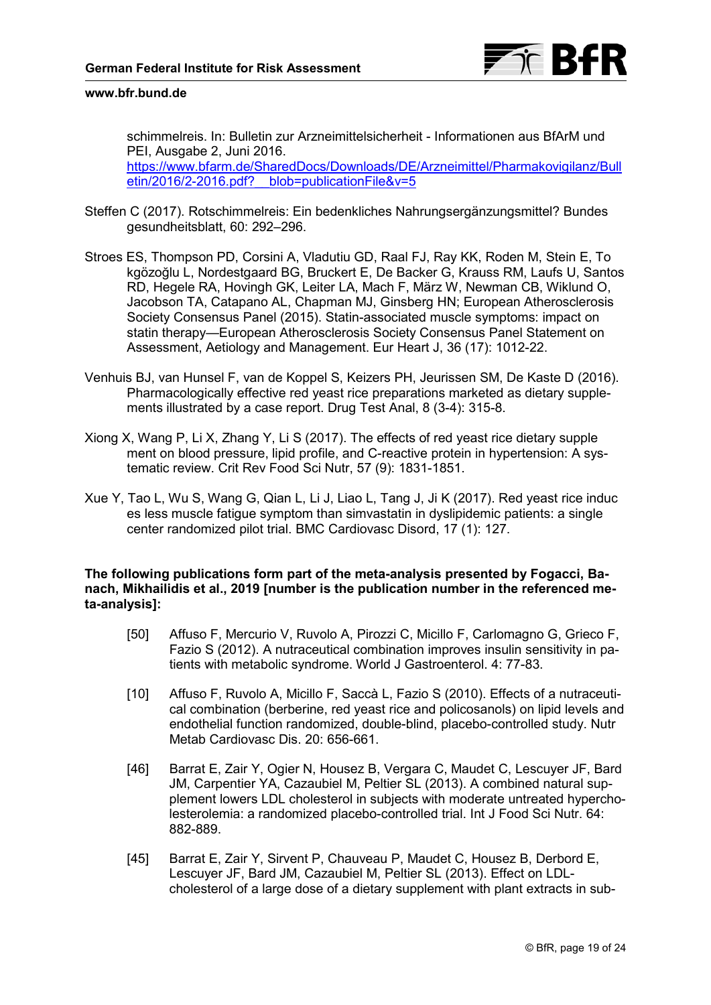<span id="page-18-0"></span>schimmelreis. In: Bulletin zur Arzneimittelsicherheit - Informationen aus BfArM und PEI, Ausgabe 2, Juni 2016. [https://www.bfarm.de/SharedDocs/Downloads/DE/Arzneimittel/Pharmakovigilanz/Bull](https://www.bfarm.de/SharedDocs/Downloads/DE/Arzneimittel/Pharmakovigilanz/Bulletin/2016/2-2016.pdf?__blob=publicationFile&v=5) etin/2016/2-2016.pdf? blob=publicationFile&v=5

- Steffen C (2017). Rotschimmelreis: Ein bedenkliches Nahrungsergänzungsmittel? Bundes gesundheitsblatt, 60: 292–296.
- Stroes ES, Thompson PD, Corsini A, Vladutiu GD, Raal FJ, Ray KK, Roden M, Stein E, To kgözoğlu L, Nordestgaard BG, Bruckert E, De Backer G, Krauss RM, Laufs U, Santos RD, Hegele RA, Hovingh GK, Leiter LA, Mach F, März W, Newman CB, Wiklund O, Jacobson TA, Catapano AL, Chapman MJ, Ginsberg HN; European Atherosclerosis Society Consensus Panel (2015). Statin-associated muscle symptoms: impact on statin therapy—European Atherosclerosis Society Consensus Panel Statement on Assessment, Aetiology and Management. Eur Heart J, 36 (17): 1012-22.
- Venhuis BJ, van Hunsel F, van de Koppel S, Keizers PH, Jeurissen SM, De Kaste D (2016). Pharmacologically effective red yeast rice preparations marketed as dietary supplements illustrated by a case report. Drug Test Anal, 8 (3-4): 315-8.
- Xiong X, Wang P, Li X, Zhang Y, Li S (2017). The effects of red yeast rice dietary supple ment on blood pressure, lipid profile, and C-reactive protein in hypertension: A systematic review. Crit Rev Food Sci Nutr, 57 (9): 1831-1851.
- Xue Y, Tao L, Wu S, Wang G, Qian L, Li J, Liao L, Tang J, Ji K (2017). Red yeast rice induc es less muscle fatigue symptom than simvastatin in dyslipidemic patients: a single center randomized pilot trial. BMC Cardiovasc Disord, 17 (1): 127.

# **The following publications form part of the meta-analysis presented by Fogacci, Banach, Mikhailidis et al., 2019 [number is the publication number in the referenced meta-analysis]:**

- [50] Affuso F, Mercurio V, Ruvolo A, Pirozzi C, Micillo F, Carlomagno G, Grieco F, Fazio S (2012). A nutraceutical combination improves insulin sensitivity in patients with metabolic syndrome. World J Gastroenterol. 4: 77-83.
- [10] Affuso F, Ruvolo A, Micillo F, Saccà L, Fazio S (2010). Effects of a nutraceutical combination (berberine, red yeast rice and policosanols) on lipid levels and endothelial function randomized, double-blind, placebo-controlled study. Nutr Metab Cardiovasc Dis. 20: 656-661.
- [46] Barrat E, Zair Y, Ogier N, Housez B, Vergara C, Maudet C, Lescuyer JF, Bard JM, Carpentier YA, Cazaubiel M, Peltier SL (2013). A combined natural supplement lowers LDL cholesterol in subjects with moderate untreated hypercholesterolemia: a randomized placebo-controlled trial. Int J Food Sci Nutr. 64: 882-889.
- [45] Barrat E, Zair Y, Sirvent P, Chauveau P, Maudet C, Housez B, Derbord E, Lescuyer JF, Bard JM, Cazaubiel M, Peltier SL (2013). Effect on LDLcholesterol of a large dose of a dietary supplement with plant extracts in sub-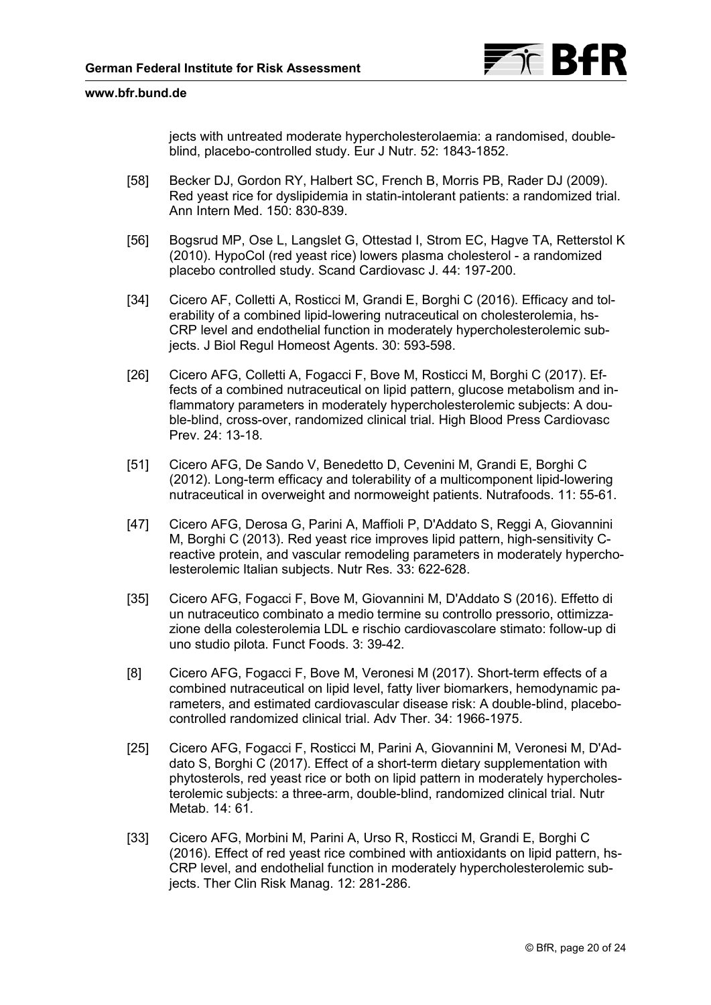

<span id="page-19-0"></span>jects with untreated moderate hypercholesterolaemia: a randomised, doubleblind, placebo-controlled study. Eur J Nutr. 52: 1843-1852.

- [58] Becker DJ, Gordon RY, Halbert SC, French B, Morris PB, Rader DJ (2009). Red yeast rice for dyslipidemia in statin-intolerant patients: a randomized trial. Ann Intern Med. 150: 830-839.
- [56] Bogsrud MP, Ose L, Langslet G, Ottestad I, Strom EC, Hagve TA, Retterstol K (2010). HypoCol (red yeast rice) lowers plasma cholesterol - a randomized placebo controlled study. Scand Cardiovasc J. 44: 197-200.
- [34] Cicero AF, Colletti A, Rosticci M, Grandi E, Borghi C (2016). Efficacy and tolerability of a combined lipid-lowering nutraceutical on cholesterolemia, hs-CRP level and endothelial function in moderately hypercholesterolemic subjects. J Biol Regul Homeost Agents. 30: 593-598.
- [26] Cicero AFG, Colletti A, Fogacci F, Bove M, Rosticci M, Borghi C (2017). Effects of a combined nutraceutical on lipid pattern, glucose metabolism and inflammatory parameters in moderately hypercholesterolemic subjects: A double-blind, cross-over, randomized clinical trial. High Blood Press Cardiovasc Prev. 24: 13-18.
- [51] Cicero AFG, De Sando V, Benedetto D, Cevenini M, Grandi E, Borghi C (2012). Long-term efficacy and tolerability of a multicomponent lipid-lowering nutraceutical in overweight and normoweight patients. Nutrafoods. 11: 55-61.
- [47] Cicero AFG, Derosa G, Parini A, Maffioli P, D'Addato S, Reggi A, Giovannini M, Borghi C (2013). Red yeast rice improves lipid pattern, high-sensitivity Creactive protein, and vascular remodeling parameters in moderately hypercholesterolemic Italian subjects. Nutr Res. 33: 622-628.
- [35] Cicero AFG, Fogacci F, Bove M, Giovannini M, D'Addato S (2016). Effetto di un nutraceutico combinato a medio termine su controllo pressorio, ottimizzazione della colesterolemia LDL e rischio cardiovascolare stimato: follow-up di uno studio pilota. Funct Foods. 3: 39-42.
- [8] Cicero AFG, Fogacci F, Bove M, Veronesi M (2017). Short-term effects of a combined nutraceutical on lipid level, fatty liver biomarkers, hemodynamic parameters, and estimated cardiovascular disease risk: A double-blind, placebocontrolled randomized clinical trial. Adv Ther. 34: 1966-1975.
- [25] Cicero AFG, Fogacci F, Rosticci M, Parini A, Giovannini M, Veronesi M, D'Addato S, Borghi C (2017). Effect of a short-term dietary supplementation with phytosterols, red yeast rice or both on lipid pattern in moderately hypercholesterolemic subjects: a three-arm, double-blind, randomized clinical trial. Nutr Metab. 14: 61.
- [33] Cicero AFG, Morbini M, Parini A, Urso R, Rosticci M, Grandi E, Borghi C (2016). Effect of red yeast rice combined with antioxidants on lipid pattern, hs-CRP level, and endothelial function in moderately hypercholesterolemic subjects. Ther Clin Risk Manag. 12: 281-286.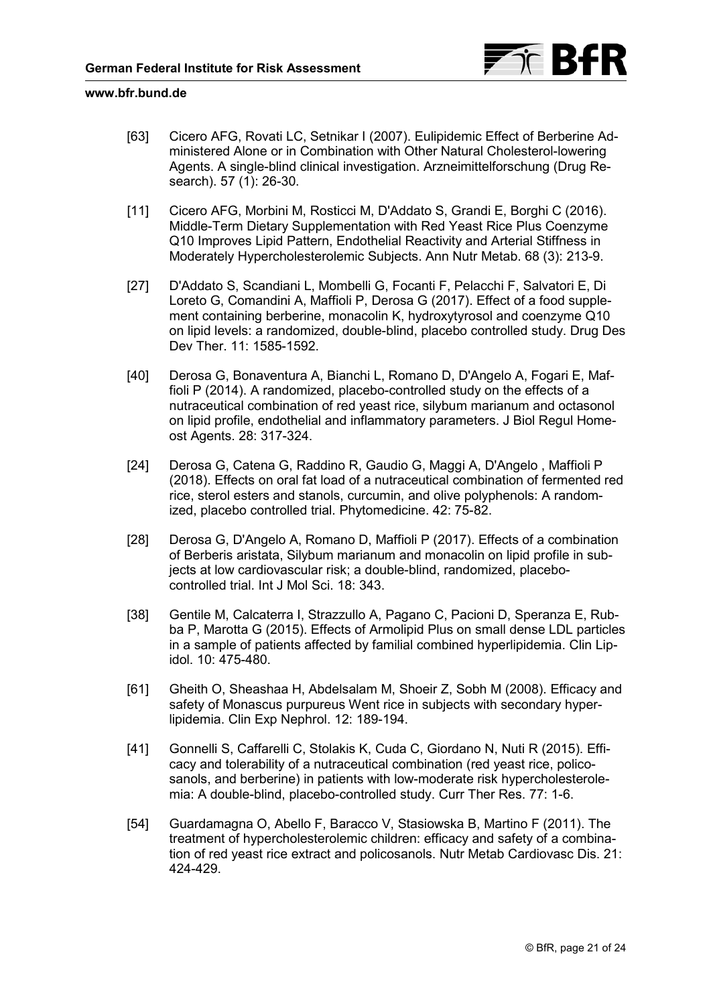

- <span id="page-20-0"></span>[63] Cicero AFG, Rovati LC, Setnikar I (2007). Eulipidemic Effect of Berberine Administered Alone or in Combination with Other Natural Cholesterol-lowering Agents. A single-blind clinical investigation. Arzneimittelforschung (Drug Research). 57 (1): 26-30.
- [11] Cicero AFG, Morbini M, Rosticci M, D'Addato S, Grandi E, Borghi C (2016). Middle-Term Dietary Supplementation with Red Yeast Rice Plus Coenzyme Q10 Improves Lipid Pattern, Endothelial Reactivity and Arterial Stiffness in Moderately Hypercholesterolemic Subjects. Ann Nutr Metab. 68 (3): 213-9.
- [27] D'Addato S, Scandiani L, Mombelli G, Focanti F, Pelacchi F, Salvatori E, Di Loreto G, Comandini A, Maffioli P, Derosa G (2017). Effect of a food supplement containing berberine, monacolin K, hydroxytyrosol and coenzyme Q10 on lipid levels: a randomized, double-blind, placebo controlled study. Drug Des Dev Ther. 11: 1585-1592.
- [40] Derosa G, Bonaventura A, Bianchi L, Romano D, D'Angelo A, Fogari E, Maffioli P (2014). A randomized, placebo-controlled study on the effects of a nutraceutical combination of red yeast rice, silybum marianum and octasonol on lipid profile, endothelial and inflammatory parameters. J Biol Regul Homeost Agents. 28: 317-324.
- [24] Derosa G, Catena G, Raddino R, Gaudio G, Maggi A, D'Angelo , Maffioli P (2018). Effects on oral fat load of a nutraceutical combination of fermented red rice, sterol esters and stanols, curcumin, and olive polyphenols: A randomized, placebo controlled trial. Phytomedicine. 42: 75-82.
- [28] Derosa G, D'Angelo A, Romano D, Maffioli P (2017). Effects of a combination of Berberis aristata, Silybum marianum and monacolin on lipid profile in subjects at low cardiovascular risk; a double-blind, randomized, placebocontrolled trial. Int J Mol Sci. 18: 343.
- [38] Gentile M, Calcaterra I, Strazzullo A, Pagano C, Pacioni D, Speranza E, Rubba P, Marotta G (2015). Effects of Armolipid Plus on small dense LDL particles in a sample of patients affected by familial combined hyperlipidemia. Clin Lipidol. 10: 475-480.
- [61] Gheith O, Sheashaa H, Abdelsalam M, Shoeir Z, Sobh M (2008). Efficacy and safety of Monascus purpureus Went rice in subjects with secondary hyperlipidemia. Clin Exp Nephrol. 12: 189-194.
- [41] Gonnelli S, Caffarelli C, Stolakis K, Cuda C, Giordano N, Nuti R (2015). Efficacy and tolerability of a nutraceutical combination (red yeast rice, policosanols, and berberine) in patients with low-moderate risk hypercholesterolemia: A double-blind, placebo-controlled study. Curr Ther Res. 77: 1-6.
- [54] Guardamagna O, Abello F, Baracco V, Stasiowska B, Martino F (2011). The treatment of hypercholesterolemic children: efficacy and safety of a combination of red yeast rice extract and policosanols. Nutr Metab Cardiovasc Dis. 21: 424-429.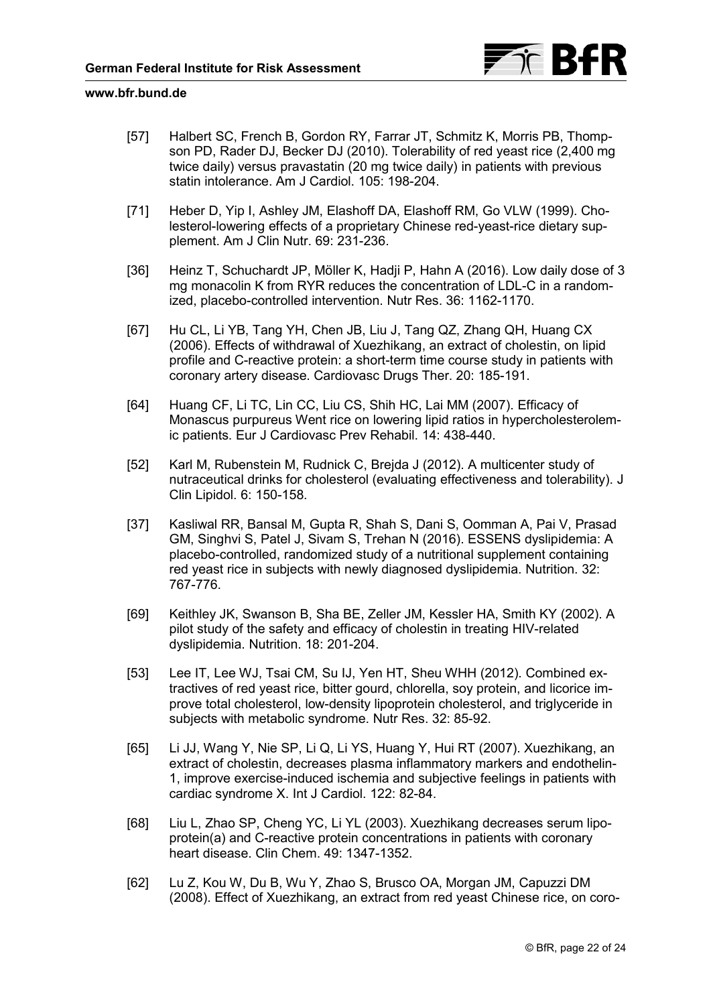

- <span id="page-21-0"></span>[57] Halbert SC, French B, Gordon RY, Farrar JT, Schmitz K, Morris PB, Thompson PD, Rader DJ, Becker DJ (2010). Tolerability of red yeast rice (2,400 mg twice daily) versus pravastatin (20 mg twice daily) in patients with previous statin intolerance. Am J Cardiol. 105: 198-204.
- [71] Heber D, Yip I, Ashley JM, Elashoff DA, Elashoff RM, Go VLW (1999). Cholesterol-lowering effects of a proprietary Chinese red-yeast-rice dietary supplement. Am J Clin Nutr. 69: 231-236.
- [36] Heinz T, Schuchardt JP, Möller K, Hadji P, Hahn A (2016). Low daily dose of 3 mg monacolin K from RYR reduces the concentration of LDL-C in a randomized, placebo-controlled intervention. Nutr Res. 36: 1162-1170.
- [67] Hu CL, Li YB, Tang YH, Chen JB, Liu J, Tang QZ, Zhang QH, Huang CX (2006). Effects of withdrawal of Xuezhikang, an extract of cholestin, on lipid profile and C-reactive protein: a short-term time course study in patients with coronary artery disease. Cardiovasc Drugs Ther. 20: 185-191.
- [64] Huang CF, Li TC, Lin CC, Liu CS, Shih HC, Lai MM (2007). Efficacy of Monascus purpureus Went rice on lowering lipid ratios in hypercholesterolemic patients. Eur J Cardiovasc Prev Rehabil. 14: 438-440.
- [52] Karl M, Rubenstein M, Rudnick C, Brejda J (2012). A multicenter study of nutraceutical drinks for cholesterol (evaluating effectiveness and tolerability). J Clin Lipidol. 6: 150-158.
- [37] Kasliwal RR, Bansal M, Gupta R, Shah S, Dani S, Oomman A, Pai V, Prasad GM, Singhvi S, Patel J, Sivam S, Trehan N (2016). ESSENS dyslipidemia: A placebo-controlled, randomized study of a nutritional supplement containing red yeast rice in subjects with newly diagnosed dyslipidemia. Nutrition. 32: 767-776.
- [69] Keithley JK, Swanson B, Sha BE, Zeller JM, Kessler HA, Smith KY (2002). A pilot study of the safety and efficacy of cholestin in treating HIV-related dyslipidemia. Nutrition. 18: 201-204.
- [53] Lee IT, Lee WJ, Tsai CM, Su IJ, Yen HT, Sheu WHH (2012). Combined extractives of red yeast rice, bitter gourd, chlorella, soy protein, and licorice improve total cholesterol, low-density lipoprotein cholesterol, and triglyceride in subjects with metabolic syndrome. Nutr Res. 32: 85-92.
- [65] Li JJ, Wang Y, Nie SP, Li Q, Li YS, Huang Y, Hui RT (2007). Xuezhikang, an extract of cholestin, decreases plasma inflammatory markers and endothelin-1, improve exercise-induced ischemia and subjective feelings in patients with cardiac syndrome X. Int J Cardiol. 122: 82-84.
- [68] Liu L, Zhao SP, Cheng YC, Li YL (2003). Xuezhikang decreases serum lipoprotein(a) and C-reactive protein concentrations in patients with coronary heart disease. Clin Chem. 49: 1347-1352.
- [62] Lu Z, Kou W, Du B, Wu Y, Zhao S, Brusco OA, Morgan JM, Capuzzi DM (2008). Effect of Xuezhikang, an extract from red yeast Chinese rice, on coro-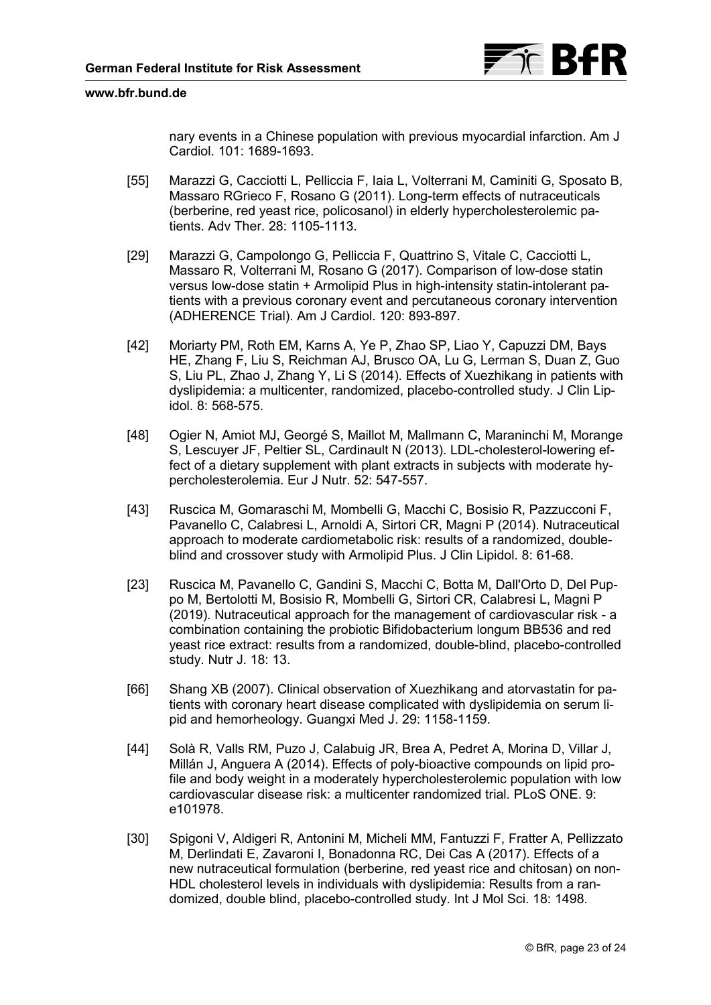

<span id="page-22-0"></span>nary events in a Chinese population with previous myocardial infarction. Am J Cardiol. 101: 1689-1693.

- [55] Marazzi G, Cacciotti L, Pelliccia F, Iaia L, Volterrani M, Caminiti G, Sposato B, Massaro RGrieco F, Rosano G (2011). Long-term effects of nutraceuticals (berberine, red yeast rice, policosanol) in elderly hypercholesterolemic patients. Adv Ther. 28: 1105-1113.
- [29] Marazzi G, Campolongo G, Pelliccia F, Quattrino S, Vitale C, Cacciotti L, Massaro R, Volterrani M, Rosano G (2017). Comparison of low-dose statin versus low-dose statin + Armolipid Plus in high-intensity statin-intolerant patients with a previous coronary event and percutaneous coronary intervention (ADHERENCE Trial). Am J Cardiol. 120: 893-897.
- [42] Moriarty PM, Roth EM, Karns A, Ye P, Zhao SP, Liao Y, Capuzzi DM, Bays HE, Zhang F, Liu S, Reichman AJ, Brusco OA, Lu G, Lerman S, Duan Z, Guo S, Liu PL, Zhao J, Zhang Y, Li S (2014). Effects of Xuezhikang in patients with dyslipidemia: a multicenter, randomized, placebo-controlled study. J Clin Lipidol. 8: 568-575.
- [48] Ogier N, Amiot MJ, Georgé S, Maillot M, Mallmann C, Maraninchi M, Morange S, Lescuyer JF, Peltier SL, Cardinault N (2013). LDL-cholesterol-lowering effect of a dietary supplement with plant extracts in subjects with moderate hypercholesterolemia. Eur J Nutr. 52: 547-557.
- [43] Ruscica M, Gomaraschi M, Mombelli G, Macchi C, Bosisio R, Pazzucconi F, Pavanello C, Calabresi L, Arnoldi A, Sirtori CR, Magni P (2014). Nutraceutical approach to moderate cardiometabolic risk: results of a randomized, doubleblind and crossover study with Armolipid Plus. J Clin Lipidol. 8: 61-68.
- [23] Ruscica M, Pavanello C, Gandini S, Macchi C, Botta M, Dall'Orto D, Del Puppo M, Bertolotti M, Bosisio R, Mombelli G, Sirtori CR, Calabresi L, Magni P (2019). Nutraceutical approach for the management of cardiovascular risk - a combination containing the probiotic Bifidobacterium longum BB536 and red yeast rice extract: results from a randomized, double-blind, placebo-controlled study. Nutr J. 18: 13.
- [66] Shang XB (2007). Clinical observation of Xuezhikang and atorvastatin for patients with coronary heart disease complicated with dyslipidemia on serum lipid and hemorheology. Guangxi Med J. 29: 1158-1159.
- [44] Solà R, Valls RM, Puzo J, Calabuig JR, Brea A, Pedret A, Morina D, Villar J, Millán J, Anguera A (2014). Effects of poly-bioactive compounds on lipid profile and body weight in a moderately hypercholesterolemic population with low cardiovascular disease risk: a multicenter randomized trial. PLoS ONE. 9: e101978.
- [30] Spigoni V, Aldigeri R, Antonini M, Micheli MM, Fantuzzi F, Fratter A, Pellizzato M, Derlindati E, Zavaroni I, Bonadonna RC, Dei Cas A (2017). Effects of a new nutraceutical formulation (berberine, red yeast rice and chitosan) on non-HDL cholesterol levels in individuals with dyslipidemia: Results from a randomized, double blind, placebo-controlled study. Int J Mol Sci. 18: 1498.